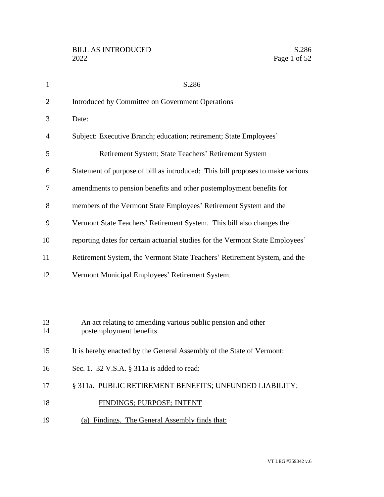| $\mathbf{1}$   | S.286                                                                                   |
|----------------|-----------------------------------------------------------------------------------------|
| $\overline{2}$ | Introduced by Committee on Government Operations                                        |
| 3              | Date:                                                                                   |
| 4              | Subject: Executive Branch; education; retirement; State Employees'                      |
| 5              | Retirement System; State Teachers' Retirement System                                    |
| 6              | Statement of purpose of bill as introduced: This bill proposes to make various          |
| 7              | amendments to pension benefits and other postemployment benefits for                    |
| 8              | members of the Vermont State Employees' Retirement System and the                       |
| 9              | Vermont State Teachers' Retirement System. This bill also changes the                   |
| 10             | reporting dates for certain actuarial studies for the Vermont State Employees'          |
| 11             | Retirement System, the Vermont State Teachers' Retirement System, and the               |
| 12             | Vermont Municipal Employees' Retirement System.                                         |
|                |                                                                                         |
|                |                                                                                         |
| 13<br>14       | An act relating to amending various public pension and other<br>postemployment benefits |
| 15             | It is hereby enacted by the General Assembly of the State of Vermont:                   |
| 16             | Sec. 1. 32 V.S.A. § 311a is added to read:                                              |
|                |                                                                                         |
| 17             | § 311a. PUBLIC RETIREMENT BENEFITS; UNFUNDED LIABILITY;                                 |
| 18             | FINDINGS; PURPOSE; INTENT                                                               |
| 19             | (a) Findings. The General Assembly finds that:                                          |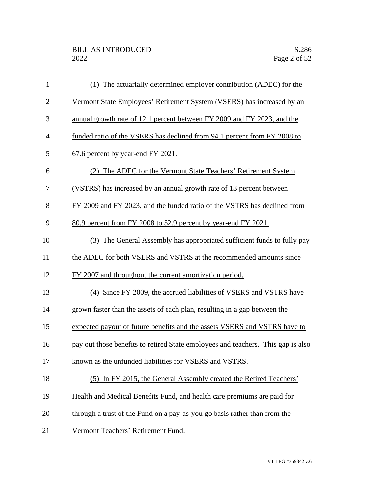| 1              | (1) The actuarially determined employer contribution (ADEC) for the              |
|----------------|----------------------------------------------------------------------------------|
| $\mathbf{2}$   | Vermont State Employees' Retirement System (VSERS) has increased by an           |
| 3              | annual growth rate of 12.1 percent between FY 2009 and FY 2023, and the          |
| $\overline{4}$ | funded ratio of the VSERS has declined from 94.1 percent from FY 2008 to         |
| 5              | 67.6 percent by year-end FY 2021.                                                |
| 6              | (2) The ADEC for the Vermont State Teachers' Retirement System                   |
| 7              | (VSTRS) has increased by an annual growth rate of 13 percent between             |
| 8              | FY 2009 and FY 2023, and the funded ratio of the VSTRS has declined from         |
| 9              | 80.9 percent from FY 2008 to 52.9 percent by year-end FY 2021.                   |
| 10             | (3) The General Assembly has appropriated sufficient funds to fully pay          |
| 11             | the ADEC for both VSERS and VSTRS at the recommended amounts since               |
| 12             | FY 2007 and throughout the current amortization period.                          |
| 13             | (4) Since FY 2009, the accrued liabilities of VSERS and VSTRS have               |
| 14             | grown faster than the assets of each plan, resulting in a gap between the        |
| 15             | expected payout of future benefits and the assets VSERS and VSTRS have to        |
| 16             | pay out those benefits to retired State employees and teachers. This gap is also |
| 17             | known as the unfunded liabilities for VSERS and VSTRS.                           |
| 18             | (5) In FY 2015, the General Assembly created the Retired Teachers'               |
| 19             | Health and Medical Benefits Fund, and health care premiums are paid for          |
| 20             | through a trust of the Fund on a pay-as-you go basis rather than from the        |
| 21             | Vermont Teachers' Retirement Fund.                                               |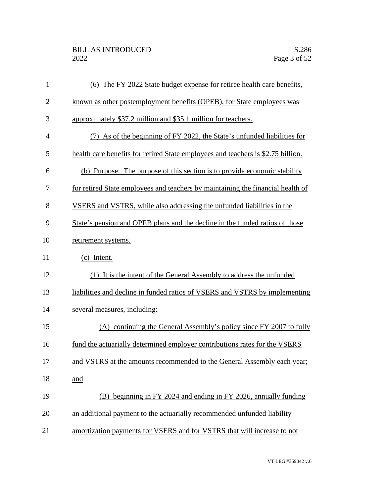| $\mathbf{1}$   | (6) The FY 2022 State budget expense for retiree health care benefits,           |
|----------------|----------------------------------------------------------------------------------|
| $\overline{2}$ | known as other postemployment benefits (OPEB), for State employees was           |
| 3              | approximately \$37.2 million and \$35.1 million for teachers.                    |
| $\overline{4}$ | (7) As of the beginning of FY 2022, the State's unfunded liabilities for         |
| 5              | health care benefits for retired State employees and teachers is \$2.75 billion. |
| 6              | (b) Purpose. The purpose of this section is to provide economic stability        |
| 7              | for retired State employees and teachers by maintaining the financial health of  |
| 8              | VSERS and VSTRS, while also addressing the unfunded liabilities in the           |
| 9              | State's pension and OPEB plans and the decline in the funded ratios of those     |
| 10             | retirement systems.                                                              |
| 11             | (c) Intent.                                                                      |
| 12             | (1) It is the intent of the General Assembly to address the unfunded             |
| 13             | liabilities and decline in funded ratios of VSERS and VSTRS by implementing      |
| 14             | several measures, including:                                                     |
| 15             | (A) continuing the General Assembly's policy since FY 2007 to fully              |
| 16             | fund the actuarially determined employer contributions rates for the VSERS       |
| 17             | and VSTRS at the amounts recommended to the General Assembly each year;          |
| 18             | and                                                                              |
| 19             | (B) beginning in FY 2024 and ending in FY 2026, annually funding                 |
| 20             | an additional payment to the actuarially recommended unfunded liability          |
| 21             | amortization payments for VSERS and for VSTRS that will increase to not          |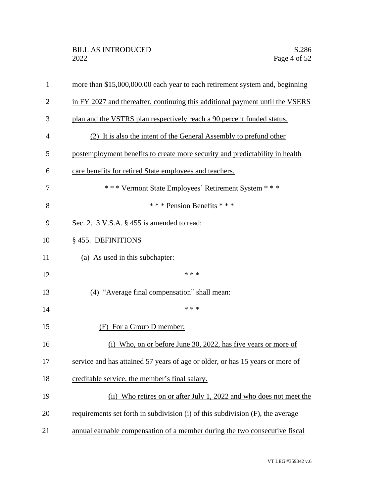| $\mathbf{1}$   | more than \$15,000,000.00 each year to each retirement system and, beginning   |
|----------------|--------------------------------------------------------------------------------|
| $\overline{2}$ | in FY 2027 and thereafter, continuing this additional payment until the VSERS  |
| 3              | plan and the VSTRS plan respectively reach a 90 percent funded status.         |
| $\overline{4}$ | (2) It is also the intent of the General Assembly to prefund other             |
| 5              | postemployment benefits to create more security and predictability in health   |
| 6              | care benefits for retired State employees and teachers.                        |
| 7              | *** Vermont State Employees' Retirement System ***                             |
| 8              | *** Pension Benefits ***                                                       |
| 9              | Sec. 2. 3 V.S.A. § 455 is amended to read:                                     |
| 10             | § 455. DEFINITIONS                                                             |
| 11             | (a) As used in this subchapter:                                                |
| 12             | * * *                                                                          |
| 13             | (4) "Average final compensation" shall mean:                                   |
| 14             | * * *                                                                          |
| 15             | For a Group D member:<br>(F).                                                  |
| 16             | Who, on or before June 30, 2022, has five years or more of                     |
| 17             | service and has attained 57 years of age or older, or has 15 years or more of  |
| 18             | creditable service, the member's final salary.                                 |
| 19             | (ii) Who retires on or after July 1, 2022 and who does not meet the            |
| 20             | requirements set forth in subdivision (i) of this subdivision (F), the average |
| 21             | annual earnable compensation of a member during the two consecutive fiscal     |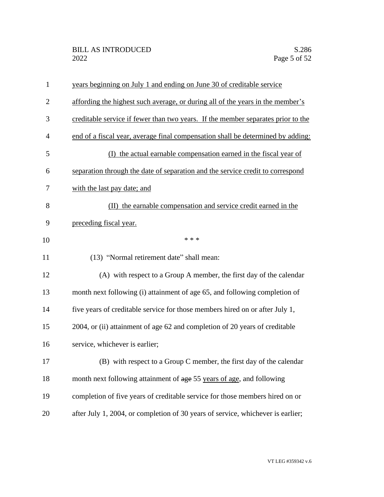| $\mathbf{1}$   | years beginning on July 1 and ending on June 30 of creditable service            |
|----------------|----------------------------------------------------------------------------------|
| $\overline{2}$ | affording the highest such average, or during all of the years in the member's   |
| 3              | creditable service if fewer than two years. If the member separates prior to the |
| $\overline{4}$ | end of a fiscal year, average final compensation shall be determined by adding:  |
| 5              | (I) the actual earnable compensation earned in the fiscal year of                |
| 6              | separation through the date of separation and the service credit to correspond   |
| 7              | with the last pay date; and                                                      |
| 8              | (II) the earnable compensation and service credit earned in the                  |
| 9              | preceding fiscal year.                                                           |
| 10             | * * *                                                                            |
| 11             | (13) "Normal retirement date" shall mean:                                        |
| 12             | (A) with respect to a Group A member, the first day of the calendar              |
| 13             | month next following (i) attainment of age 65, and following completion of       |
| 14             | five years of creditable service for those members hired on or after July 1,     |
| 15             | 2004, or (ii) attainment of age 62 and completion of 20 years of creditable      |
| 16             | service, whichever is earlier;                                                   |
| 17             | (B) with respect to a Group C member, the first day of the calendar              |
| 18             | month next following attainment of age 55 years of age, and following            |
| 19             | completion of five years of creditable service for those members hired on or     |
| 20             | after July 1, 2004, or completion of 30 years of service, whichever is earlier;  |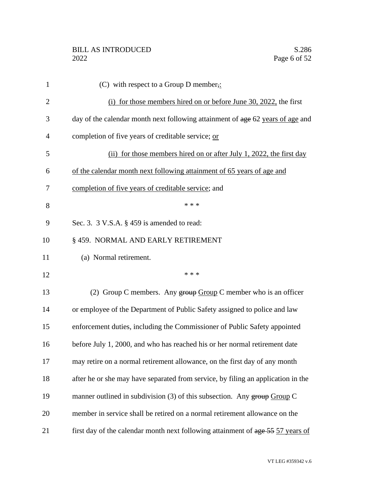| $\mathbf{1}$   | (C) with respect to a Group D member,:                                           |
|----------------|----------------------------------------------------------------------------------|
| $\overline{2}$ | (i) for those members hired on or before June 30, 2022, the first                |
| 3              | day of the calendar month next following attainment of age 62 years of age and   |
| 4              | completion of five years of creditable service; or                               |
| 5              | (ii) for those members hired on or after July 1, 2022, the first day             |
| 6              | of the calendar month next following attainment of 65 years of age and           |
| 7              | completion of five years of creditable service; and                              |
| 8              | * * *                                                                            |
| 9              | Sec. 3. $3$ V.S.A. $\S$ 459 is amended to read:                                  |
| 10             | § 459. NORMAL AND EARLY RETIREMENT                                               |
| 11             | (a) Normal retirement.                                                           |
| 12             | * * *                                                                            |
| 13             | (2) Group C members. Any $\frac{1}{2}$ Group C member who is an officer          |
| 14             | or employee of the Department of Public Safety assigned to police and law        |
| 15             | enforcement duties, including the Commissioner of Public Safety appointed        |
| 16             | before July 1, 2000, and who has reached his or her normal retirement date       |
| 17             | may retire on a normal retirement allowance, on the first day of any month       |
| 18             | after he or she may have separated from service, by filing an application in the |
| 19             | manner outlined in subdivision $(3)$ of this subsection. Any group Group C       |
| 20             | member in service shall be retired on a normal retirement allowance on the       |
| 21             | first day of the calendar month next following attainment of age 55 57 years of  |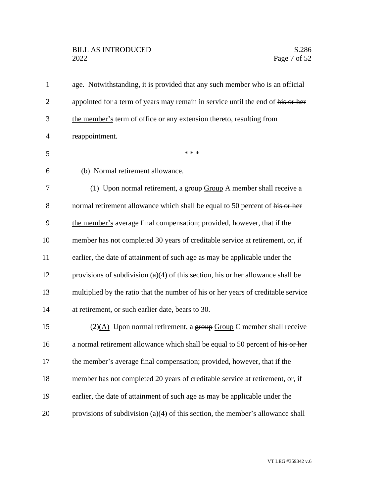# BILL AS INTRODUCED<br>2022 Page 7 of 52

| $\mathbf{1}$   | age. Notwithstanding, it is provided that any such member who is an official      |
|----------------|-----------------------------------------------------------------------------------|
| $\overline{2}$ | appointed for a term of years may remain in service until the end of his or her   |
| 3              | the member's term of office or any extension thereto, resulting from              |
| $\overline{4}$ | reappointment.                                                                    |
| 5              | * * *                                                                             |
| 6              | (b) Normal retirement allowance.                                                  |
| 7              | (1) Upon normal retirement, a $\frac{1}{2}$ stroup A member shall receive a       |
| 8              | normal retirement allowance which shall be equal to 50 percent of his or her      |
| 9              | the member's average final compensation; provided, however, that if the           |
| 10             | member has not completed 30 years of creditable service at retirement, or, if     |
| 11             | earlier, the date of attainment of such age as may be applicable under the        |
| 12             | provisions of subdivision $(a)(4)$ of this section, his or her allowance shall be |
| 13             | multiplied by the ratio that the number of his or her years of creditable service |
| 14             | at retirement, or such earlier date, bears to 30.                                 |
| 15             | $(2)(\underline{A})$ Upon normal retirement, a group Group C member shall receive |
| 16             | a normal retirement allowance which shall be equal to 50 percent of his or her    |
| 17             | the member's average final compensation; provided, however, that if the           |
| 18             | member has not completed 20 years of creditable service at retirement, or, if     |
| 19             | earlier, the date of attainment of such age as may be applicable under the        |
| 20             | provisions of subdivision $(a)(4)$ of this section, the member's allowance shall  |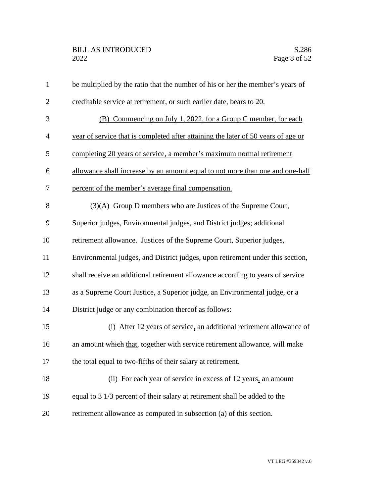| $\mathbf{1}$   | be multiplied by the ratio that the number of his or her the member's years of    |
|----------------|-----------------------------------------------------------------------------------|
| $\overline{2}$ | creditable service at retirement, or such earlier date, bears to 20.              |
| 3              | (B) Commencing on July 1, 2022, for a Group C member, for each                    |
| $\overline{4}$ | year of service that is completed after attaining the later of 50 years of age or |
| 5              | completing 20 years of service, a member's maximum normal retirement              |
| 6              | allowance shall increase by an amount equal to not more than one and one-half     |
| $\tau$         | percent of the member's average final compensation.                               |
| 8              | $(3)(A)$ Group D members who are Justices of the Supreme Court,                   |
| 9              | Superior judges, Environmental judges, and District judges; additional            |
| 10             | retirement allowance. Justices of the Supreme Court, Superior judges,             |
| 11             | Environmental judges, and District judges, upon retirement under this section,    |
| 12             | shall receive an additional retirement allowance according to years of service    |
| 13             | as a Supreme Court Justice, a Superior judge, an Environmental judge, or a        |
| 14             | District judge or any combination thereof as follows:                             |
| 15             | (i) After 12 years of service, an additional retirement allowance of              |
| 16             | an amount which that, together with service retirement allowance, will make       |
| 17             | the total equal to two-fifths of their salary at retirement.                      |
| 18             | (ii) For each year of service in excess of 12 years, an amount                    |
| 19             | equal to 3 1/3 percent of their salary at retirement shall be added to the        |
| 20             | retirement allowance as computed in subsection (a) of this section.               |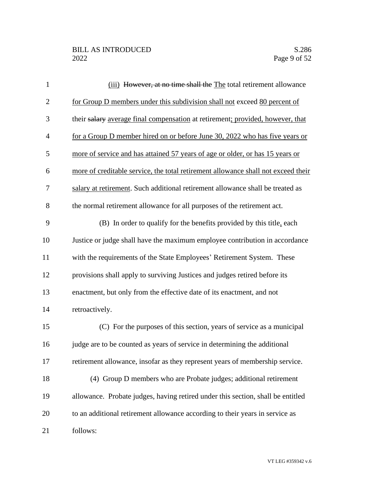| $\mathbf{1}$   | (iii) However, at no time shall the The total retirement allowance                |
|----------------|-----------------------------------------------------------------------------------|
| $\overline{2}$ | for Group D members under this subdivision shall not exceed 80 percent of         |
| 3              | their salary average final compensation at retirement; provided, however, that    |
| $\overline{4}$ | for a Group D member hired on or before June 30, 2022 who has five years or       |
| 5              | more of service and has attained 57 years of age or older, or has 15 years or     |
| 6              | more of creditable service, the total retirement allowance shall not exceed their |
| $\tau$         | salary at retirement. Such additional retirement allowance shall be treated as    |
| 8              | the normal retirement allowance for all purposes of the retirement act.           |
| 9              | (B) In order to qualify for the benefits provided by this title, each             |
| 10             | Justice or judge shall have the maximum employee contribution in accordance       |
| 11             | with the requirements of the State Employees' Retirement System. These            |
| 12             | provisions shall apply to surviving Justices and judges retired before its        |
| 13             | enactment, but only from the effective date of its enactment, and not             |
| 14             | retroactively.                                                                    |
| 15             | (C) For the purposes of this section, years of service as a municipal             |
| 16             | judge are to be counted as years of service in determining the additional         |
| 17             | retirement allowance, insofar as they represent years of membership service.      |
| 18             | (4) Group D members who are Probate judges; additional retirement                 |
| 19             | allowance. Probate judges, having retired under this section, shall be entitled   |
| 20             | to an additional retirement allowance according to their years in service as      |
| 21             | follows:                                                                          |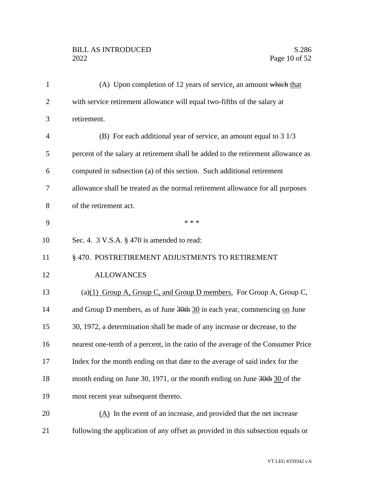# BILL AS INTRODUCED<br>2022 Page 10 of 52

| $\mathbf{1}$   | (A) Upon completion of 12 years of service, an amount which that                  |
|----------------|-----------------------------------------------------------------------------------|
| $\overline{2}$ | with service retirement allowance will equal two-fifths of the salary at          |
| 3              | retirement.                                                                       |
| $\overline{4}$ | (B) For each additional year of service, an amount equal to $3\frac{1}{3}$        |
| 5              | percent of the salary at retirement shall be added to the retirement allowance as |
| 6              | computed in subsection (a) of this section. Such additional retirement            |
| 7              | allowance shall be treated as the normal retirement allowance for all purposes    |
| 8              | of the retirement act.                                                            |
| 9              | * * *                                                                             |
| 10             | Sec. 4. $3$ V.S.A. $\S$ 470 is amended to read:                                   |
| 11             | § 470. POSTRETIREMENT ADJUSTMENTS TO RETIREMENT                                   |
| 12             | <b>ALLOWANCES</b>                                                                 |
| 13             | (a) $(1)$ Group A, Group C, and Group D members. For Group A, Group C,            |
| 14             | and Group D members, as of June 30th 30 in each year, commencing on June          |
| 15             | 30, 1972, a determination shall be made of any increase or decrease, to the       |
| 16             | nearest one-tenth of a percent, in the ratio of the average of the Consumer Price |
| 17             | Index for the month ending on that date to the average of said index for the      |
| 18             | month ending on June 30, 1971, or the month ending on June 30th 30 of the         |
| 19             | most recent year subsequent thereto.                                              |
| 20             | (A) In the event of an increase, and provided that the net increase               |
| 21             | following the application of any offset as provided in this subsection equals or  |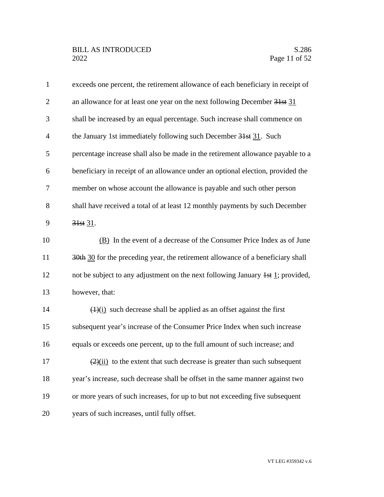| $\mathbf{1}$   | exceeds one percent, the retirement allowance of each beneficiary in receipt of          |
|----------------|------------------------------------------------------------------------------------------|
| $\overline{2}$ | an allowance for at least one year on the next following December 31st 31                |
| 3              | shall be increased by an equal percentage. Such increase shall commence on               |
| $\overline{4}$ | the January 1st immediately following such December 31st 31. Such                        |
| 5              | percentage increase shall also be made in the retirement allowance payable to a          |
| 6              | beneficiary in receipt of an allowance under an optional election, provided the          |
| 7              | member on whose account the allowance is payable and such other person                   |
| 8              | shall have received a total of at least 12 monthly payments by such December             |
| 9              | 31st 31.                                                                                 |
| 10             | (B) In the event of a decrease of the Consumer Price Index as of June                    |
| 11             | 30th 30 for the preceding year, the retirement allowance of a beneficiary shall          |
| 12             | not be subject to any adjustment on the next following January $\frac{1}{1}$ ; provided, |
| 13             | however, that:                                                                           |
| 14             | $\left(\frac{1}{i}\right)$ such decrease shall be applied as an offset against the first |
| 15             | subsequent year's increase of the Consumer Price Index when such increase                |
| 16             | equals or exceeds one percent, up to the full amount of such increase; and               |
| 17             | $\frac{2}{(2)(ii)}$ to the extent that such decrease is greater than such subsequent     |
| 18             | year's increase, such decrease shall be offset in the same manner against two            |
| 19             | or more years of such increases, for up to but not exceeding five subsequent             |
| 20             | years of such increases, until fully offset.                                             |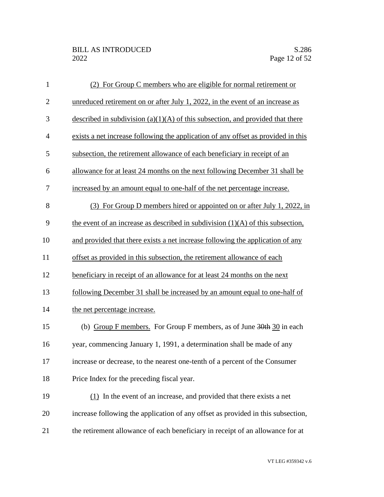| $\mathbf{1}$   | (2) For Group C members who are eligible for normal retirement or                       |
|----------------|-----------------------------------------------------------------------------------------|
| $\mathbf{2}$   | unreduced retirement on or after July 1, 2022, in the event of an increase as           |
| 3              | described in subdivision $(a)(1)(A)$ of this subsection, and provided that there        |
| $\overline{4}$ | exists a net increase following the application of any offset as provided in this       |
| 5              | subsection, the retirement allowance of each beneficiary in receipt of an               |
| 6              | allowance for at least 24 months on the next following December 31 shall be             |
| 7              | increased by an amount equal to one-half of the net percentage increase.                |
| 8              | (3) For Group D members hired or appointed on or after July 1, 2022, in                 |
| 9              | the event of an increase as described in subdivision $(1)(A)$ of this subsection,       |
| 10             | and provided that there exists a net increase following the application of any          |
| 11             | offset as provided in this subsection, the retirement allowance of each                 |
| 12             | beneficiary in receipt of an allowance for at least 24 months on the next               |
| 13             | following December 31 shall be increased by an amount equal to one-half of              |
| 14             | the net percentage increase.                                                            |
| 15             | (b) Group F members. For Group F members, as of June $\frac{30 \text{th}}{100}$ in each |
| 16             | year, commencing January 1, 1991, a determination shall be made of any                  |
| 17             | increase or decrease, to the nearest one-tenth of a percent of the Consumer             |
| 18             | Price Index for the preceding fiscal year.                                              |
| 19             | $(1)$ In the event of an increase, and provided that there exists a net                 |
| 20             | increase following the application of any offset as provided in this subsection,        |
| 21             | the retirement allowance of each beneficiary in receipt of an allowance for at          |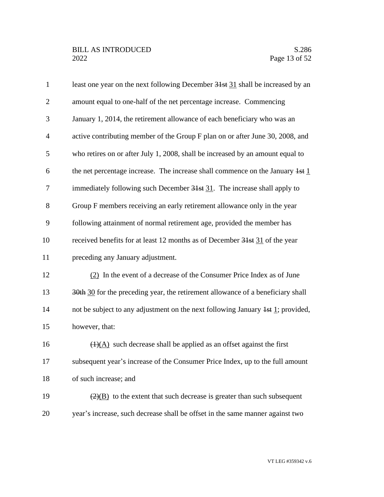| $\mathbf{1}$   | least one year on the next following December 31st 31 shall be increased by an           |
|----------------|------------------------------------------------------------------------------------------|
| $\overline{2}$ | amount equal to one-half of the net percentage increase. Commencing                      |
| 3              | January 1, 2014, the retirement allowance of each beneficiary who was an                 |
| $\overline{4}$ | active contributing member of the Group F plan on or after June 30, 2008, and            |
| 5              | who retires on or after July 1, 2008, shall be increased by an amount equal to           |
| 6              | the net percentage increase. The increase shall commence on the January $\frac{1}{1}$    |
| $\tau$         | immediately following such December 31st 31. The increase shall apply to                 |
| 8              | Group F members receiving an early retirement allowance only in the year                 |
| 9              | following attainment of normal retirement age, provided the member has                   |
| 10             | received benefits for at least 12 months as of December 31st 31 of the year              |
| 11             | preceding any January adjustment.                                                        |
| 12             | (2) In the event of a decrease of the Consumer Price Index as of June                    |
| 13             | 30th 30 for the preceding year, the retirement allowance of a beneficiary shall          |
| 14             | not be subject to any adjustment on the next following January $\frac{1}{1}$ ; provided, |
| 15             | however, that:                                                                           |
| 16             | $\overline{(1)(A)}$ such decrease shall be applied as an offset against the first        |
| 17             | subsequent year's increase of the Consumer Price Index, up to the full amount            |
| 18             | of such increase; and                                                                    |
| 19             | $\frac{2}{2}$ to the extent that such decrease is greater than such subsequent           |
| 20             | year's increase, such decrease shall be offset in the same manner against two            |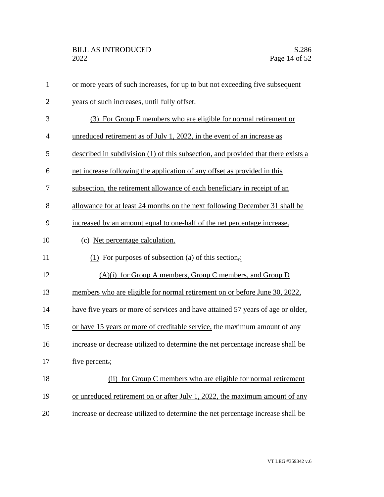| $\mathbf{1}$   | or more years of such increases, for up to but not exceeding five subsequent      |
|----------------|-----------------------------------------------------------------------------------|
| $\overline{2}$ | years of such increases, until fully offset.                                      |
| 3              | (3) For Group F members who are eligible for normal retirement or                 |
| $\overline{4}$ | unreduced retirement as of July 1, 2022, in the event of an increase as           |
| 5              | described in subdivision (1) of this subsection, and provided that there exists a |
| 6              | net increase following the application of any offset as provided in this          |
| 7              | subsection, the retirement allowance of each beneficiary in receipt of an         |
| 8              | allowance for at least 24 months on the next following December 31 shall be       |
| 9              | increased by an amount equal to one-half of the net percentage increase.          |
| 10             | (c) Net percentage calculation.                                                   |
| 11             | $(1)$ For purposes of subsection (a) of this section,:                            |
| 12             | $(A)(i)$ for Group A members, Group C members, and Group D                        |
| 13             | members who are eligible for normal retirement on or before June 30, 2022,        |
| 14             | have five years or more of services and have attained 57 years of age or older,   |
| 15             | or have 15 years or more of creditable service, the maximum amount of any         |
| 16             | increase or decrease utilized to determine the net percentage increase shall be   |
| 17             | five percent.;                                                                    |
| 18             | (ii) for Group C members who are eligible for normal retirement                   |
| 19             | or unreduced retirement on or after July 1, 2022, the maximum amount of any       |
| 20             | increase or decrease utilized to determine the net percentage increase shall be   |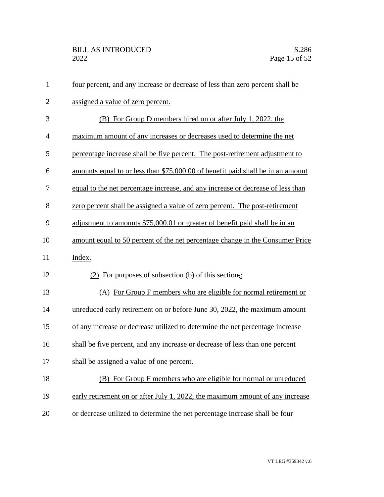| $\mathbf{1}$   | four percent, and any increase or decrease of less than zero percent shall be   |
|----------------|---------------------------------------------------------------------------------|
| $\overline{2}$ | assigned a value of zero percent.                                               |
| 3              | (B) For Group D members hired on or after July 1, 2022, the                     |
| $\overline{4}$ | maximum amount of any increases or decreases used to determine the net          |
| 5              | percentage increase shall be five percent. The post-retirement adjustment to    |
| 6              | amounts equal to or less than \$75,000.00 of benefit paid shall be in an amount |
| 7              | equal to the net percentage increase, and any increase or decrease of less than |
| 8              | zero percent shall be assigned a value of zero percent. The post-retirement     |
| 9              | adjustment to amounts \$75,000.01 or greater of benefit paid shall be in an     |
| 10             | amount equal to 50 percent of the net percentage change in the Consumer Price   |
| 11             | Index.                                                                          |
| 12             | $(2)$ For purposes of subsection (b) of this section,:                          |
| 13             | (A) For Group F members who are eligible for normal retirement or               |
| 14             | unreduced early retirement on or before June 30, 2022, the maximum amount       |
| 15             | of any increase or decrease utilized to determine the net percentage increase   |
| 16             | shall be five percent, and any increase or decrease of less than one percent    |
| 17             | shall be assigned a value of one percent.                                       |
| 18             | (B) For Group F members who are eligible for normal or unreduced                |
| 19             | early retirement on or after July 1, 2022, the maximum amount of any increase   |
| 20             | or decrease utilized to determine the net percentage increase shall be four     |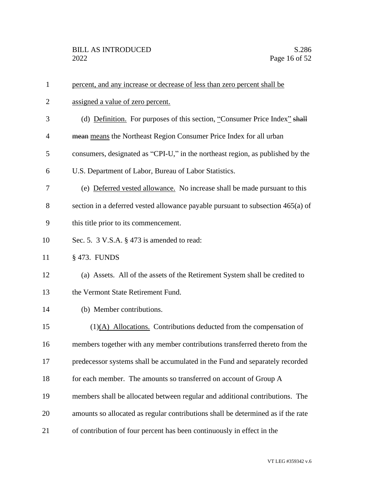| $\mathbf{1}$   | percent, and any increase or decrease of less than zero percent shall be         |
|----------------|----------------------------------------------------------------------------------|
| $\overline{2}$ | assigned a value of zero percent.                                                |
| 3              | (d) Definition. For purposes of this section, "Consumer Price Index" shall       |
| $\overline{4}$ | mean means the Northeast Region Consumer Price Index for all urban               |
| 5              | consumers, designated as "CPI-U," in the northeast region, as published by the   |
| 6              | U.S. Department of Labor, Bureau of Labor Statistics.                            |
| 7              | (e) Deferred vested allowance. No increase shall be made pursuant to this        |
| 8              | section in a deferred vested allowance payable pursuant to subsection 465(a) of  |
| 9              | this title prior to its commencement.                                            |
| 10             | Sec. 5. 3 V.S.A. § 473 is amended to read:                                       |
| 11             | § 473. FUNDS                                                                     |
| 12             | (a) Assets. All of the assets of the Retirement System shall be credited to      |
| 13             | the Vermont State Retirement Fund.                                               |
| 14             | (b) Member contributions.                                                        |
| 15             | $(1)(A)$ Allocations. Contributions deducted from the compensation of            |
| 16             | members together with any member contributions transferred thereto from the      |
| 17             | predecessor systems shall be accumulated in the Fund and separately recorded     |
| 18             | for each member. The amounts so transferred on account of Group A                |
| 19             | members shall be allocated between regular and additional contributions. The     |
| 20             | amounts so allocated as regular contributions shall be determined as if the rate |
| 21             | of contribution of four percent has been continuously in effect in the           |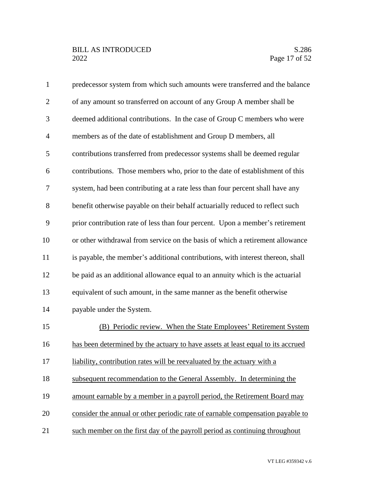# BILL AS INTRODUCED<br>2022 Page 17 of 52

| $\mathbf{1}$   | predecessor system from which such amounts were transferred and the balance     |
|----------------|---------------------------------------------------------------------------------|
| $\overline{2}$ | of any amount so transferred on account of any Group A member shall be          |
| 3              | deemed additional contributions. In the case of Group C members who were        |
| $\overline{4}$ | members as of the date of establishment and Group D members, all                |
| 5              | contributions transferred from predecessor systems shall be deemed regular      |
| 6              | contributions. Those members who, prior to the date of establishment of this    |
| 7              | system, had been contributing at a rate less than four percent shall have any   |
| 8              | benefit otherwise payable on their behalf actuarially reduced to reflect such   |
| 9              | prior contribution rate of less than four percent. Upon a member's retirement   |
| 10             | or other withdrawal from service on the basis of which a retirement allowance   |
| 11             | is payable, the member's additional contributions, with interest thereon, shall |
| 12             | be paid as an additional allowance equal to an annuity which is the actuarial   |
| 13             | equivalent of such amount, in the same manner as the benefit otherwise          |
| 14             | payable under the System.                                                       |
| 15             | (B) Periodic review. When the State Employees' Retirement System                |
| 16             | has been determined by the actuary to have assets at least equal to its accrued |
| 17             | liability, contribution rates will be reevaluated by the actuary with a         |
| 18             | subsequent recommendation to the General Assembly. In determining the           |
| 19             | amount earnable by a member in a payroll period, the Retirement Board may       |
| 20             | consider the annual or other periodic rate of earnable compensation payable to  |
| 21             | such member on the first day of the payroll period as continuing throughout     |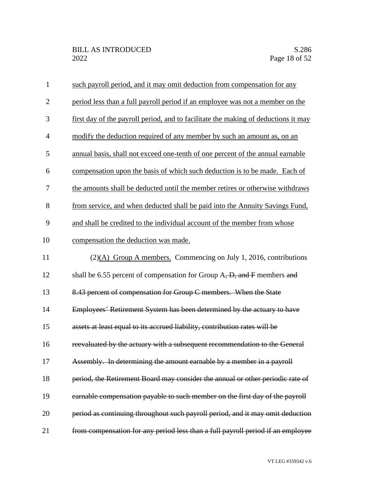| $\mathbf{1}$   | such payroll period, and it may omit deduction from compensation for any           |
|----------------|------------------------------------------------------------------------------------|
| $\overline{2}$ | period less than a full payroll period if an employee was not a member on the      |
| 3              | first day of the payroll period, and to facilitate the making of deductions it may |
| $\overline{4}$ | modify the deduction required of any member by such an amount as, on an            |
| 5              | annual basis, shall not exceed one-tenth of one percent of the annual earnable     |
| 6              | compensation upon the basis of which such deduction is to be made. Each of         |
| 7              | the amounts shall be deducted until the member retires or otherwise withdraws      |
| 8              | from service, and when deducted shall be paid into the Annuity Savings Fund,       |
| 9              | and shall be credited to the individual account of the member from whose           |
| 10             | compensation the deduction was made.                                               |
| 11             | $(2)(A)$ Group A members. Commencing on July 1, 2016, contributions                |
| 12             | shall be 6.55 percent of compensation for Group A, D, and F members and            |
| 13             | 8.43 percent of compensation for Group C members. When the State                   |
| 14             | Employees' Retirement System has been determined by the actuary to have            |
| 15             | assets at least equal to its accrued liability, contribution rates will be         |
| 16             | reevaluated by the actuary with a subsequent recommendation to the General         |
| 17             | Assembly. In determining the amount earnable by a member in a payroll              |
| 18             | period, the Retirement Board may consider the annual or other periodic rate of     |
| 19             | earnable compensation payable to such member on the first day of the payroll       |
| 20             | period as continuing throughout such payroll period, and it may omit deduction     |
| 21             | from compensation for any period less than a full payroll period if an employee    |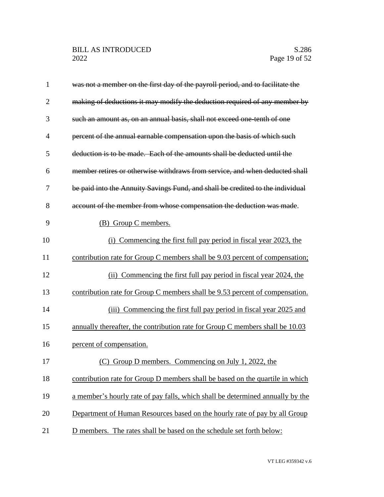| $\mathbf{1}$   | was not a member on the first day of the payroll period, and to facilitate the |
|----------------|--------------------------------------------------------------------------------|
| $\overline{2}$ | making of deductions it may modify the deduction required of any member by     |
| 3              | such an amount as, on an annual basis, shall not exceed one tenth of one       |
| $\overline{4}$ | percent of the annual earnable compensation upon the basis of which such       |
| 5              | deduction is to be made. Each of the amounts shall be deducted until the       |
| 6              | member retires or otherwise withdraws from service, and when deducted shall    |
| 7              | be paid into the Annuity Savings Fund, and shall be credited to the individual |
| 8              | account of the member from whose compensation the deduction was made.          |
| 9              | (B) Group C members.                                                           |
| 10             | (i) Commencing the first full pay period in fiscal year 2023, the              |
| 11             | contribution rate for Group C members shall be 9.03 percent of compensation;   |
| 12             | (ii) Commencing the first full pay period in fiscal year 2024, the             |
| 13             | contribution rate for Group C members shall be 9.53 percent of compensation.   |
| 14             | (iii) Commencing the first full pay period in fiscal year 2025 and             |
| 15             | annually thereafter, the contribution rate for Group C members shall be 10.03  |
| 16             | percent of compensation.                                                       |
| 17             | (C) Group D members. Commencing on July 1, 2022, the                           |
| 18             | contribution rate for Group D members shall be based on the quartile in which  |
| 19             | a member's hourly rate of pay falls, which shall be determined annually by the |
| 20             | Department of Human Resources based on the hourly rate of pay by all Group     |
| 21             | D members. The rates shall be based on the schedule set forth below:           |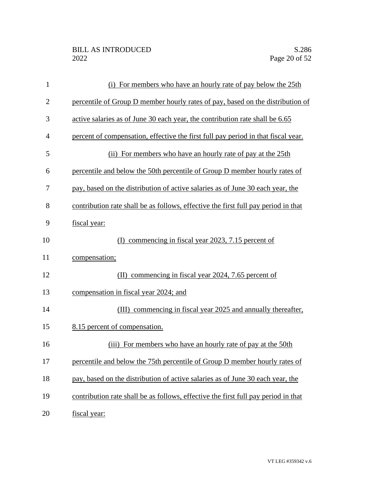| $\mathbf{1}$   | (i) For members who have an hourly rate of pay below the 25th                      |
|----------------|------------------------------------------------------------------------------------|
| $\overline{2}$ | percentile of Group D member hourly rates of pay, based on the distribution of     |
| 3              | active salaries as of June 30 each year, the contribution rate shall be 6.65       |
| $\overline{4}$ | percent of compensation, effective the first full pay period in that fiscal year.  |
| 5              | (ii) For members who have an hourly rate of pay at the 25th                        |
| 6              | percentile and below the 50th percentile of Group D member hourly rates of         |
| 7              | pay, based on the distribution of active salaries as of June 30 each year, the     |
| 8              | contribution rate shall be as follows, effective the first full pay period in that |
| 9              | fiscal year:                                                                       |
| 10             | commencing in fiscal year 2023, 7.15 percent of<br>(D                              |
| 11             | compensation;                                                                      |
| 12             | commencing in fiscal year 2024, 7.65 percent of<br>(II)                            |
| 13             | compensation in fiscal year 2024; and                                              |
| 14             | (III) commencing in fiscal year 2025 and annually thereafter,                      |
| 15             | 8.15 percent of compensation.                                                      |
| 16             | For members who have an hourly rate of pay at the 50th<br>(iii)                    |
| 17             | percentile and below the 75th percentile of Group D member hourly rates of         |
| 18             | pay, based on the distribution of active salaries as of June 30 each year, the     |
| 19             | contribution rate shall be as follows, effective the first full pay period in that |
| 20             | fiscal year:                                                                       |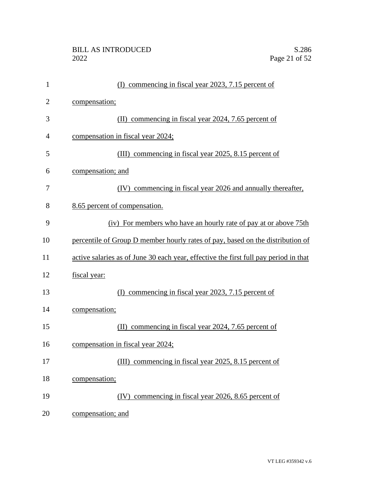| $\mathbf{1}$   | commencing in fiscal year 2023, 7.15 percent of<br>(I)                               |
|----------------|--------------------------------------------------------------------------------------|
| $\overline{2}$ | compensation;                                                                        |
| 3              | commencing in fiscal year 2024, 7.65 percent of<br>(II)                              |
| $\overline{4}$ | compensation in fiscal year 2024;                                                    |
| 5              | (III) commencing in fiscal year 2025, 8.15 percent of                                |
| 6              | compensation; and                                                                    |
| 7              | (IV) commencing in fiscal year 2026 and annually thereafter,                         |
| 8              | 8.65 percent of compensation.                                                        |
| 9              | (iv) For members who have an hourly rate of pay at or above 75th                     |
| 10             | percentile of Group D member hourly rates of pay, based on the distribution of       |
| 11             | active salaries as of June 30 each year, effective the first full pay period in that |
| 12             | fiscal year:                                                                         |
| 13             | commencing in fiscal year 2023, 7.15 percent of<br>(I)                               |
| 14             | compensation;                                                                        |
| 15             | (II) commencing in fiscal year 2024, 7.65 percent of                                 |
| 16             | compensation in fiscal year 2024;                                                    |
| 17             | (III) commencing in fiscal year 2025, 8.15 percent of                                |
| 18             | compensation;                                                                        |
| 19             | (IV) commencing in fiscal year 2026, 8.65 percent of                                 |
| 20             | compensation; and                                                                    |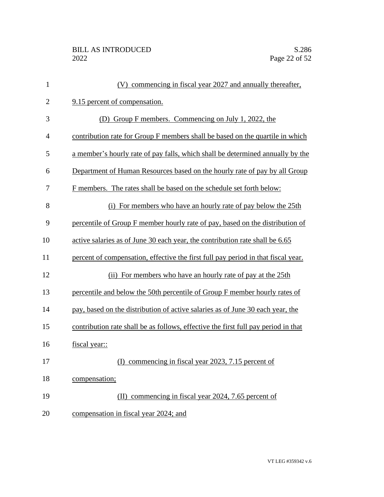| $\mathbf{1}$   | (V) commencing in fiscal year 2027 and annually thereafter,                        |
|----------------|------------------------------------------------------------------------------------|
| $\overline{2}$ | 9.15 percent of compensation.                                                      |
| 3              | (D) Group F members. Commencing on July 1, 2022, the                               |
| 4              | contribution rate for Group F members shall be based on the quartile in which      |
| 5              | a member's hourly rate of pay falls, which shall be determined annually by the     |
| 6              | Department of Human Resources based on the hourly rate of pay by all Group         |
| 7              | F members. The rates shall be based on the schedule set forth below:               |
| 8              | (i) For members who have an hourly rate of pay below the 25th                      |
| 9              | percentile of Group F member hourly rate of pay, based on the distribution of      |
| 10             | active salaries as of June 30 each year, the contribution rate shall be 6.65       |
| 11             | percent of compensation, effective the first full pay period in that fiscal year.  |
| 12             | (ii) For members who have an hourly rate of pay at the 25th                        |
| 13             | percentile and below the 50th percentile of Group F member hourly rates of         |
| 14             | pay, based on the distribution of active salaries as of June 30 each year, the     |
| 15             | contribution rate shall be as follows, effective the first full pay period in that |
| 16             | fiscal year::                                                                      |
| 17             | (I) commencing in fiscal year 2023, 7.15 percent of                                |
| 18             | compensation;                                                                      |
| 19             | (II) commencing in fiscal year 2024, 7.65 percent of                               |
| 20             | compensation in fiscal year 2024; and                                              |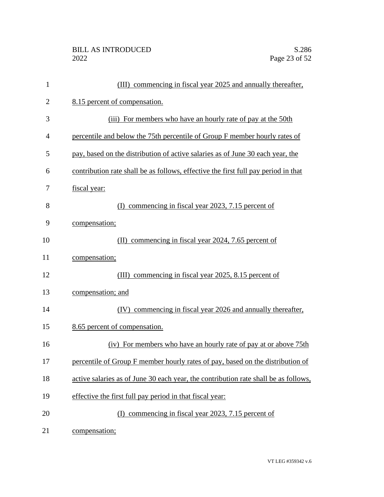| $\mathbf{1}$   | (III) commencing in fiscal year 2025 and annually thereafter,                       |
|----------------|-------------------------------------------------------------------------------------|
| $\overline{2}$ | 8.15 percent of compensation.                                                       |
| 3              | (iii) For members who have an hourly rate of pay at the 50th                        |
| 4              | percentile and below the 75th percentile of Group F member hourly rates of          |
| 5              | pay, based on the distribution of active salaries as of June 30 each year, the      |
| 6              | contribution rate shall be as follows, effective the first full pay period in that  |
| 7              | fiscal year:                                                                        |
| 8              | (I) commencing in fiscal year 2023, 7.15 percent of                                 |
| 9              | compensation;                                                                       |
| 10             | commencing in fiscal year 2024, 7.65 percent of<br>(II)                             |
| 11             | compensation;                                                                       |
| 12             | commencing in fiscal year 2025, 8.15 percent of<br>(III)                            |
| 13             | compensation; and                                                                   |
| 14             | (IV) commencing in fiscal year 2026 and annually thereafter,                        |
| 15             | 8.65 percent of compensation.                                                       |
| 16             | (iv) For members who have an hourly rate of pay at or above 75th                    |
| 17             | percentile of Group F member hourly rates of pay, based on the distribution of      |
| 18             | active salaries as of June 30 each year, the contribution rate shall be as follows, |
| 19             | effective the first full pay period in that fiscal year:                            |
| 20             | commencing in fiscal year 2023, 7.15 percent of<br>(D                               |
| 21             | compensation;                                                                       |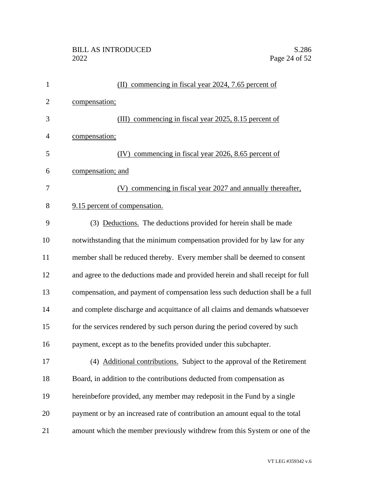| $\mathbf{1}$   | (II) commencing in fiscal year 2024, 7.65 percent of                            |
|----------------|---------------------------------------------------------------------------------|
| $\overline{2}$ | compensation;                                                                   |
| 3              | (III) commencing in fiscal year 2025, 8.15 percent of                           |
| 4              | compensation;                                                                   |
| 5              | commencing in fiscal year 2026, 8.65 percent of<br>(IV)                         |
| 6              | compensation; and                                                               |
| 7              | (V) commencing in fiscal year 2027 and annually thereafter,                     |
| 8              | 9.15 percent of compensation.                                                   |
| 9              | (3) Deductions. The deductions provided for herein shall be made                |
| 10             | notwithstanding that the minimum compensation provided for by law for any       |
| 11             | member shall be reduced thereby. Every member shall be deemed to consent        |
| 12             | and agree to the deductions made and provided herein and shall receipt for full |
| 13             | compensation, and payment of compensation less such deduction shall be a full   |
| 14             | and complete discharge and acquittance of all claims and demands whatsoever     |
| 15             | for the services rendered by such person during the period covered by such      |
| 16             | payment, except as to the benefits provided under this subchapter.              |
| 17             | (4) Additional contributions. Subject to the approval of the Retirement         |
| 18             | Board, in addition to the contributions deducted from compensation as           |
| 19             | hereinbefore provided, any member may redeposit in the Fund by a single         |
| 20             | payment or by an increased rate of contribution an amount equal to the total    |
| 21             | amount which the member previously withdrew from this System or one of the      |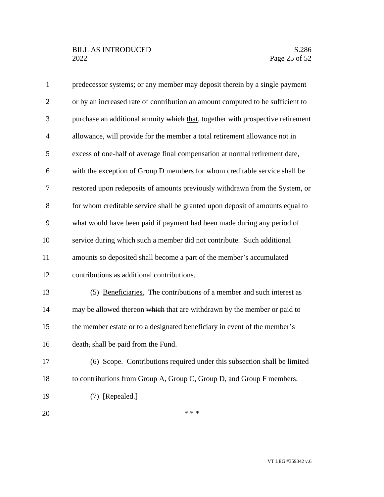| $\mathbf{1}$   | predecessor systems; or any member may deposit therein by a single payment      |
|----------------|---------------------------------------------------------------------------------|
| $\overline{2}$ | or by an increased rate of contribution an amount computed to be sufficient to  |
| 3              | purchase an additional annuity which that, together with prospective retirement |
| $\overline{4}$ | allowance, will provide for the member a total retirement allowance not in      |
| 5              | excess of one-half of average final compensation at normal retirement date,     |
| 6              | with the exception of Group D members for whom creditable service shall be      |
| $\tau$         | restored upon redeposits of amounts previously withdrawn from the System, or    |
| 8              | for whom creditable service shall be granted upon deposit of amounts equal to   |
| 9              | what would have been paid if payment had been made during any period of         |
| 10             | service during which such a member did not contribute. Such additional          |
| 11             | amounts so deposited shall become a part of the member's accumulated            |
| 12             | contributions as additional contributions.                                      |
| 13             | (5) Beneficiaries. The contributions of a member and such interest as           |
| 14             | may be allowed thereon which that are withdrawn by the member or paid to        |
| 15             | the member estate or to a designated beneficiary in event of the member's       |
| 16             | death, shall be paid from the Fund.                                             |
| 17             | (6) Scope. Contributions required under this subsection shall be limited        |
| 18             | to contributions from Group A, Group C, Group D, and Group F members.           |
| 19             | (7) [Repealed.]                                                                 |
| 20             | * * *                                                                           |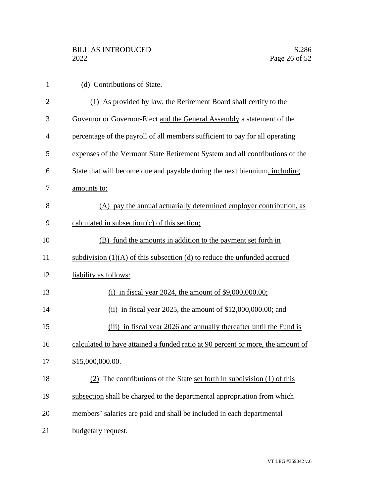| $\mathbf{1}$   | (d) Contributions of State.                                                     |
|----------------|---------------------------------------------------------------------------------|
| $\overline{2}$ | (1) As provided by law, the Retirement Board shall certify to the               |
| 3              | Governor or Governor-Elect and the General Assembly a statement of the          |
| 4              | percentage of the payroll of all members sufficient to pay for all operating    |
| 5              | expenses of the Vermont State Retirement System and all contributions of the    |
| 6              | State that will become due and payable during the next biennium, including      |
| 7              | amounts to:                                                                     |
| 8              | (A) pay the annual actuarially determined employer contribution, as             |
| 9              | calculated in subsection (c) of this section;                                   |
| 10             | (B) fund the amounts in addition to the payment set forth in                    |
| 11             | subdivision $(1)(A)$ of this subsection (d) to reduce the unfunded accrued      |
| 12             | liability as follows:                                                           |
| 13             | (i) in fiscal year 2024, the amount of $$9,000,000.00;$                         |
| 14             | (ii) in fiscal year 2025, the amount of $$12,000,000.00$ ; and                  |
| 15             | (iii) in fiscal year 2026 and annually thereafter until the Fund is             |
| 16             | calculated to have attained a funded ratio at 90 percent or more, the amount of |
| 17             | \$15,000,000.00.                                                                |
| 18             | (2) The contributions of the State set forth in subdivision (1) of this         |
| 19             | subsection shall be charged to the departmental appropriation from which        |
| 20             | members' salaries are paid and shall be included in each departmental           |
| 21             | budgetary request.                                                              |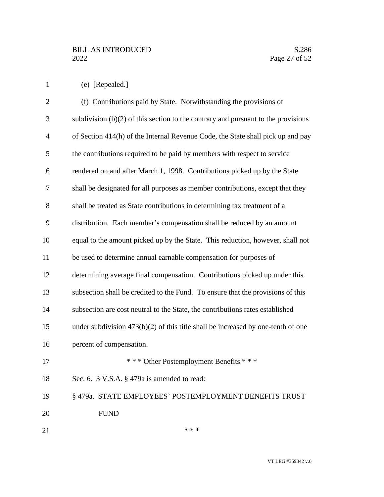(e) [Repealed.]

| $\overline{2}$ | (f) Contributions paid by State. Notwithstanding the provisions of                  |
|----------------|-------------------------------------------------------------------------------------|
| 3              | subdivision $(b)(2)$ of this section to the contrary and pursuant to the provisions |
| $\overline{4}$ | of Section 414(h) of the Internal Revenue Code, the State shall pick up and pay     |
| 5              | the contributions required to be paid by members with respect to service            |
| 6              | rendered on and after March 1, 1998. Contributions picked up by the State           |
| 7              | shall be designated for all purposes as member contributions, except that they      |
| 8              | shall be treated as State contributions in determining tax treatment of a           |
| 9              | distribution. Each member's compensation shall be reduced by an amount              |
| 10             | equal to the amount picked up by the State. This reduction, however, shall not      |
| 11             | be used to determine annual earnable compensation for purposes of                   |
| 12             | determining average final compensation. Contributions picked up under this          |
| 13             | subsection shall be credited to the Fund. To ensure that the provisions of this     |
| 14             | subsection are cost neutral to the State, the contributions rates established       |
| 15             | under subdivision $473(b)(2)$ of this title shall be increased by one-tenth of one  |
| 16             | percent of compensation.                                                            |
| 17             | *** Other Postemployment Benefits ***                                               |
| 18             | Sec. 6. 3 V.S.A. § 479a is amended to read:                                         |
| 19             | §479a. STATE EMPLOYEES' POSTEMPLOYMENT BENEFITS TRUST                               |
| 20             | <b>FUND</b>                                                                         |
|                |                                                                                     |

 $***$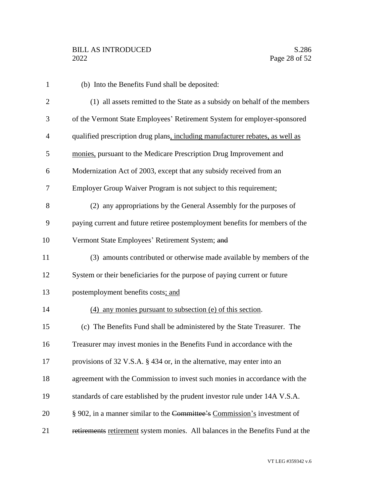| $\mathbf{1}$   | (b) Into the Benefits Fund shall be deposited:                                 |
|----------------|--------------------------------------------------------------------------------|
| $\overline{2}$ | (1) all assets remitted to the State as a subsidy on behalf of the members     |
| 3              | of the Vermont State Employees' Retirement System for employer-sponsored       |
| $\overline{4}$ | qualified prescription drug plans, including manufacturer rebates, as well as  |
| 5              | monies, pursuant to the Medicare Prescription Drug Improvement and             |
| 6              | Modernization Act of 2003, except that any subsidy received from an            |
| 7              | Employer Group Waiver Program is not subject to this requirement;              |
| 8              | (2) any appropriations by the General Assembly for the purposes of             |
| 9              | paying current and future retiree postemployment benefits for members of the   |
| 10             | Vermont State Employees' Retirement System; and                                |
| 11             | (3) amounts contributed or otherwise made available by members of the          |
| 12             | System or their beneficiaries for the purpose of paying current or future      |
| 13             | postemployment benefits costs; and                                             |
| 14             | (4) any monies pursuant to subsection (e) of this section.                     |
| 15             | (c) The Benefits Fund shall be administered by the State Treasurer. The        |
| 16             | Treasurer may invest monies in the Benefits Fund in accordance with the        |
| 17             | provisions of 32 V.S.A. § 434 or, in the alternative, may enter into an        |
| 18             | agreement with the Commission to invest such monies in accordance with the     |
| 19             | standards of care established by the prudent investor rule under 14A V.S.A.    |
| 20             | § 902, in a manner similar to the Committee's Commission's investment of       |
| 21             | retirements retirement system monies. All balances in the Benefits Fund at the |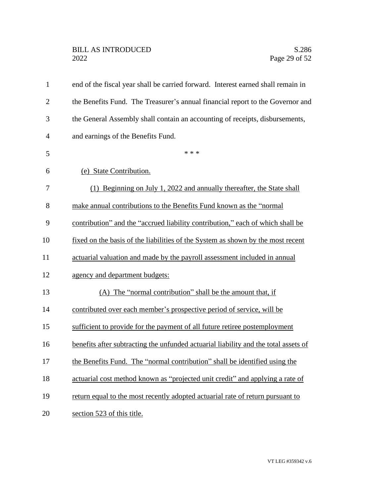| $\mathbf{1}$   | end of the fiscal year shall be carried forward. Interest earned shall remain in    |
|----------------|-------------------------------------------------------------------------------------|
| $\overline{2}$ | the Benefits Fund. The Treasurer's annual financial report to the Governor and      |
| 3              | the General Assembly shall contain an accounting of receipts, disbursements,        |
| 4              | and earnings of the Benefits Fund.                                                  |
| 5              | * * *                                                                               |
| 6              | (e) State Contribution.                                                             |
| 7              | (1) Beginning on July 1, 2022 and annually thereafter, the State shall              |
| 8              | make annual contributions to the Benefits Fund known as the "normal"                |
| 9              | contribution" and the "accrued liability contribution," each of which shall be      |
| 10             | fixed on the basis of the liabilities of the System as shown by the most recent     |
| 11             | actuarial valuation and made by the payroll assessment included in annual           |
| 12             | agency and department budgets:                                                      |
| 13             | (A) The "normal contribution" shall be the amount that, if                          |
| 14             | contributed over each member's prospective period of service, will be               |
| 15             | sufficient to provide for the payment of all future retiree postemployment          |
| 16             | benefits after subtracting the unfunded actuarial liability and the total assets of |
| 17             | the Benefits Fund. The "normal contribution" shall be identified using the          |
| 18             | actuarial cost method known as "projected unit credit" and applying a rate of       |
| 19             | return equal to the most recently adopted actuarial rate of return pursuant to      |
| 20             | section 523 of this title.                                                          |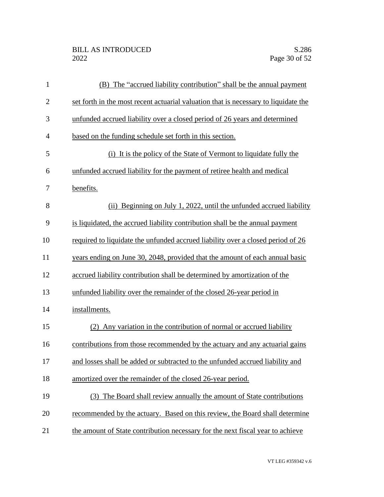| $\mathbf{1}$   | (B) The "accrued liability contribution" shall be the annual payment                |
|----------------|-------------------------------------------------------------------------------------|
| $\mathbf{2}$   | set forth in the most recent actuarial valuation that is necessary to liquidate the |
| 3              | unfunded accrued liability over a closed period of 26 years and determined          |
| $\overline{4}$ | based on the funding schedule set forth in this section.                            |
| 5              | (i) It is the policy of the State of Vermont to liquidate fully the                 |
| 6              | unfunded accrued liability for the payment of retiree health and medical            |
| 7              | benefits.                                                                           |
| 8              | (ii) Beginning on July 1, 2022, until the unfunded accrued liability                |
| 9              | is liquidated, the accrued liability contribution shall be the annual payment       |
| 10             | required to liquidate the unfunded accrued liability over a closed period of 26     |
| 11             | years ending on June 30, 2048, provided that the amount of each annual basic        |
| 12             | accrued liability contribution shall be determined by amortization of the           |
| 13             | unfunded liability over the remainder of the closed 26-year period in               |
| 14             | installments.                                                                       |
| 15             | (2) Any variation in the contribution of normal or accrued liability                |
| 16             | contributions from those recommended by the actuary and any actuarial gains         |
| 17             | and losses shall be added or subtracted to the unfunded accrued liability and       |
| 18             | amortized over the remainder of the closed 26-year period.                          |
| 19             | (3) The Board shall review annually the amount of State contributions               |
| 20             | recommended by the actuary. Based on this review, the Board shall determine         |
| 21             | the amount of State contribution necessary for the next fiscal year to achieve      |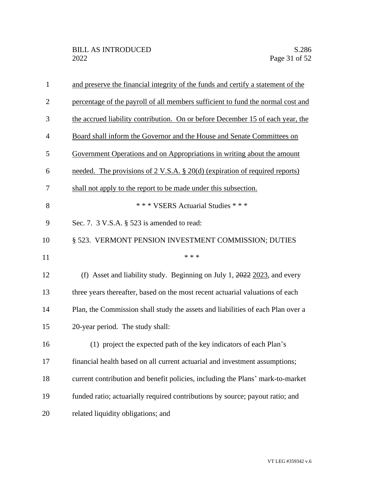| $\mathbf{1}$   | and preserve the financial integrity of the funds and certify a statement of the |
|----------------|----------------------------------------------------------------------------------|
| $\overline{2}$ | percentage of the payroll of all members sufficient to fund the normal cost and  |
| 3              | the accrued liability contribution. On or before December 15 of each year, the   |
| $\overline{4}$ | Board shall inform the Governor and the House and Senate Committees on           |
| 5              | Government Operations and on Appropriations in writing about the amount          |
| 6              | needed. The provisions of 2 V.S.A. § 20(d) (expiration of required reports)      |
| 7              | shall not apply to the report to be made under this subsection.                  |
| 8              | *** VSERS Actuarial Studies ***                                                  |
| 9              | Sec. 7. $3$ V.S.A. $\S$ 523 is amended to read:                                  |
| 10             | § 523. VERMONT PENSION INVESTMENT COMMISSION; DUTIES                             |
| 11             | * * *                                                                            |
| 12             | (f) Asset and liability study. Beginning on July 1, $2022$ $2023$ , and every    |
| 13             | three years thereafter, based on the most recent actuarial valuations of each    |
| 14             | Plan, the Commission shall study the assets and liabilities of each Plan over a  |
| 15             | 20-year period. The study shall:                                                 |
| 16             |                                                                                  |
|                | (1) project the expected path of the key indicators of each Plan's               |
| 17             | financial health based on all current actuarial and investment assumptions;      |
| 18             | current contribution and benefit policies, including the Plans' mark-to-market   |
| 19             | funded ratio; actuarially required contributions by source; payout ratio; and    |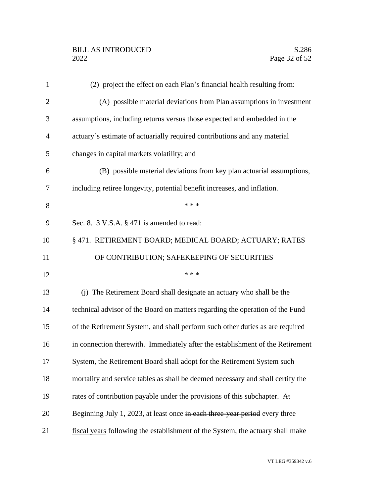| $\mathbf{1}$   | (2) project the effect on each Plan's financial health resulting from:          |
|----------------|---------------------------------------------------------------------------------|
| $\overline{2}$ | (A) possible material deviations from Plan assumptions in investment            |
| 3              | assumptions, including returns versus those expected and embedded in the        |
| $\overline{4}$ | actuary's estimate of actuarially required contributions and any material       |
| 5              | changes in capital markets volatility; and                                      |
| 6              | (B) possible material deviations from key plan actuarial assumptions,           |
| 7              | including retiree longevity, potential benefit increases, and inflation.        |
| 8              | * * *                                                                           |
| 9              | Sec. 8. $3$ V.S.A. $\S$ 471 is amended to read:                                 |
| 10             | § 471. RETIREMENT BOARD; MEDICAL BOARD; ACTUARY; RATES                          |
| 11             | OF CONTRIBUTION; SAFEKEEPING OF SECURITIES                                      |
| 12             | * * *                                                                           |
| 13             | (j) The Retirement Board shall designate an actuary who shall be the            |
| 14             | technical advisor of the Board on matters regarding the operation of the Fund   |
| 15             | of the Retirement System, and shall perform such other duties as are required   |
| 16             | in connection therewith. Immediately after the establishment of the Retirement  |
| 17             | System, the Retirement Board shall adopt for the Retirement System such         |
| 18             | mortality and service tables as shall be deemed necessary and shall certify the |
| 19             | rates of contribution payable under the provisions of this subchapter. At       |
| 20             | Beginning July 1, 2023, at least once in each three-year period every three     |
| 21             | fiscal years following the establishment of the System, the actuary shall make  |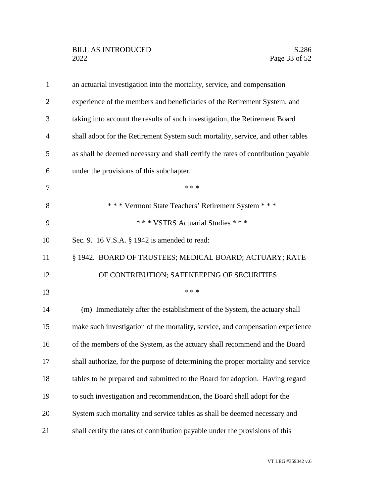| $\mathbf{1}$   | an actuarial investigation into the mortality, service, and compensation         |
|----------------|----------------------------------------------------------------------------------|
| $\overline{2}$ | experience of the members and beneficiaries of the Retirement System, and        |
| 3              | taking into account the results of such investigation, the Retirement Board      |
| $\overline{4}$ | shall adopt for the Retirement System such mortality, service, and other tables  |
| 5              | as shall be deemed necessary and shall certify the rates of contribution payable |
| 6              | under the provisions of this subchapter.                                         |
| 7              | * * *                                                                            |
| 8              | *** Vermont State Teachers' Retirement System ***                                |
| 9              | *** VSTRS Actuarial Studies ***                                                  |
| 10             | Sec. 9. 16 V.S.A. § 1942 is amended to read:                                     |
| 11             | § 1942. BOARD OF TRUSTEES; MEDICAL BOARD; ACTUARY; RATE                          |
| 12             | OF CONTRIBUTION; SAFEKEEPING OF SECURITIES                                       |
| 13             | * * *                                                                            |
| 14             | (m) Immediately after the establishment of the System, the actuary shall         |
| 15             | make such investigation of the mortality, service, and compensation experience   |
| 16             | of the members of the System, as the actuary shall recommend and the Board       |
| 17             | shall authorize, for the purpose of determining the proper mortality and service |
| 18             | tables to be prepared and submitted to the Board for adoption. Having regard     |
| 19             | to such investigation and recommendation, the Board shall adopt for the          |
| 20             | System such mortality and service tables as shall be deemed necessary and        |
| 21             | shall certify the rates of contribution payable under the provisions of this     |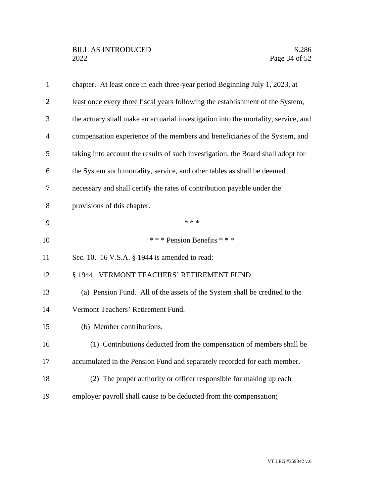| $\mathbf{1}$   | chapter. At least once in each three-year period Beginning July 1, 2023, at        |
|----------------|------------------------------------------------------------------------------------|
| $\overline{2}$ | least once every three fiscal years following the establishment of the System,     |
| 3              | the actuary shall make an actuarial investigation into the mortality, service, and |
| $\overline{4}$ | compensation experience of the members and beneficiaries of the System, and        |
| 5              | taking into account the results of such investigation, the Board shall adopt for   |
| 6              | the System such mortality, service, and other tables as shall be deemed            |
| 7              | necessary and shall certify the rates of contribution payable under the            |
| 8              | provisions of this chapter.                                                        |
| 9              | * * *                                                                              |
| 10             | *** Pension Benefits ***                                                           |
| 11             | Sec. 10. 16 V.S.A. § 1944 is amended to read:                                      |
| 12             | § 1944. VERMONT TEACHERS' RETIREMENT FUND                                          |
| 13             | (a) Pension Fund. All of the assets of the System shall be credited to the         |
| 14             | Vermont Teachers' Retirement Fund.                                                 |
| 15             | (b) Member contributions.                                                          |
| 16             | (1) Contributions deducted from the compensation of members shall be               |
| 17             | accumulated in the Pension Fund and separately recorded for each member.           |
| 18             | (2) The proper authority or officer responsible for making up each                 |
| 19             | employer payroll shall cause to be deducted from the compensation:                 |
|                |                                                                                    |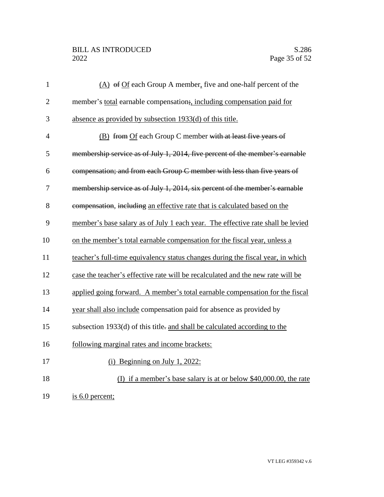# BILL AS INTRODUCED<br>2022 Page 35 of 52

| $\mathbf{1}$   | $(A)$ of Of each Group A member, five and one-half percent of the               |
|----------------|---------------------------------------------------------------------------------|
| $\overline{2}$ | member's total earnable compensation; including compensation paid for           |
| 3              | absence as provided by subsection 1933(d) of this title.                        |
| $\overline{4}$ | (B) from Of each Group C member with at least five years of                     |
| 5              | membership service as of July 1, 2014, five percent of the member's earnable    |
| 6              | compensation; and from each Group C member with less than five years of         |
| 7              | membership service as of July 1, 2014, six percent of the member's earnable     |
| 8              | compensation, including an effective rate that is calculated based on the       |
| 9              | member's base salary as of July 1 each year. The effective rate shall be levied |
| 10             | on the member's total earnable compensation for the fiscal year, unless a       |
| 11             | teacher's full-time equivalency status changes during the fiscal year, in which |
| 12             | case the teacher's effective rate will be recalculated and the new rate will be |
| 13             | applied going forward. A member's total earnable compensation for the fiscal    |
| 14             | year shall also include compensation paid for absence as provided by            |
| 15             | subsection 1933(d) of this title- and shall be calculated according to the      |
| 16             | following marginal rates and income brackets:                                   |
| 17             | $(i)$ Beginning on July 1, 2022:                                                |
| 18             | (I) if a member's base salary is at or below \$40,000.00, the rate              |
| 19             | is 6.0 percent;                                                                 |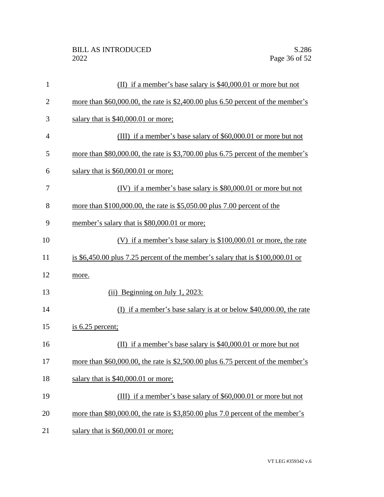| 1              | (II) if a member's base salary is $$40,000.01$ or more but not                     |
|----------------|------------------------------------------------------------------------------------|
| $\overline{2}$ | more than $$60,000.00$ , the rate is $$2,400.00$ plus 6.50 percent of the member's |
| 3              | salary that is \$40,000.01 or more;                                                |
| $\overline{4}$ | (III) if a member's base salary of \$60,000.01 or more but not                     |
| 5              | more than \$80,000.00, the rate is \$3,700.00 plus 6.75 percent of the member's    |
| 6              | salary that is \$60,000.01 or more;                                                |
| 7              | (IV) if a member's base salary is \$80,000.01 or more but not                      |
| 8              | more than $$100,000.00$ , the rate is $$5,050.00$ plus 7.00 percent of the         |
| 9              | member's salary that is \$80,000.01 or more;                                       |
| 10             | (V) if a member's base salary is $$100,000.01$ or more, the rate                   |
| 11             | is \$6,450.00 plus 7.25 percent of the member's salary that is $$100,000.01$ or    |
| 12             | more.                                                                              |
| 13             | (ii) Beginning on July 1, 2023:                                                    |
| 14             | (I) if a member's base salary is at or below $$40,000.00$ , the rate               |
| 15             | $i$ s 6.25 percent;                                                                |
| 16             | (II) if a member's base salary is $$40,000.01$ or more but not                     |
| 17             | more than \$60,000.00, the rate is \$2,500.00 plus 6.75 percent of the member's    |
| 18             | salary that is \$40,000.01 or more;                                                |
| 19             | (III) if a member's base salary of \$60,000.01 or more but not                     |
| 20             | more than \$80,000.00, the rate is \$3,850.00 plus 7.0 percent of the member's     |
| 21             | salary that is \$60,000.01 or more;                                                |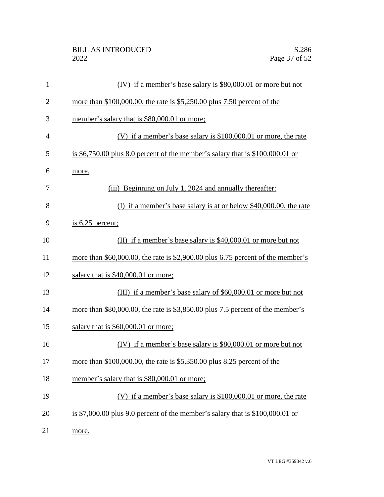| $\mathbf{1}$   | (IV) if a member's base salary is \$80,000.01 or more but not                   |
|----------------|---------------------------------------------------------------------------------|
| $\overline{2}$ | more than $$100,000.00$ , the rate is $$5,250.00$ plus 7.50 percent of the      |
| 3              | member's salary that is \$80,000.01 or more;                                    |
| $\overline{4}$ | (V) if a member's base salary is $$100,000.01$ or more, the rate                |
| 5              | is $$6,750.00$ plus 8.0 percent of the member's salary that is $$100,000.01$ or |
| 6              | more.                                                                           |
| 7              | (iii) Beginning on July 1, 2024 and annually thereafter:                        |
| 8              | (I) if a member's base salary is at or below $$40,000.00$ , the rate            |
| 9              | is $6.25$ percent;                                                              |
| 10             | (II) if a member's base salary is $$40,000.01$ or more but not                  |
| 11             | more than \$60,000.00, the rate is \$2,900.00 plus 6.75 percent of the member's |
| 12             | salary that is \$40,000.01 or more;                                             |
| 13             | (III) if a member's base salary of \$60,000.01 or more but not                  |
| 14             | more than \$80,000.00, the rate is $$3,850.00$ plus 7.5 percent of the member's |
| 15             | salary that is \$60,000.01 or more;                                             |
| 16             | (IV) if a member's base salary is \$80,000.01 or more but not                   |
| 17             | more than $$100,000.00$ , the rate is $$5,350.00$ plus 8.25 percent of the      |
| 18             | member's salary that is \$80,000.01 or more;                                    |
| 19             | (V) if a member's base salary is $$100,000.01$ or more, the rate                |
| 20             | is \$7,000.00 plus 9.0 percent of the member's salary that is $$100,000.01$ or  |
| 21             | more.                                                                           |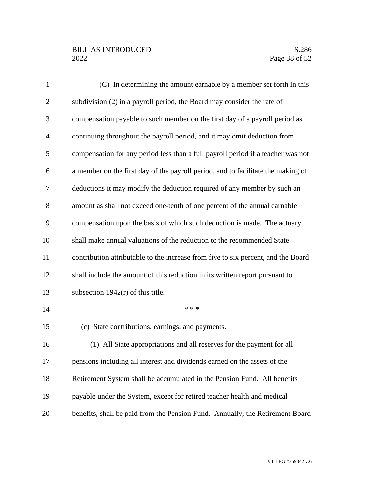# BILL AS INTRODUCED<br>2022 Page 38 of 52

| $\mathbf{1}$   | (C) In determining the amount earnable by a member set forth in this              |
|----------------|-----------------------------------------------------------------------------------|
| $\overline{2}$ | subdivision $(2)$ in a payroll period, the Board may consider the rate of         |
| 3              | compensation payable to such member on the first day of a payroll period as       |
| $\overline{4}$ | continuing throughout the payroll period, and it may omit deduction from          |
| 5              | compensation for any period less than a full payroll period if a teacher was not  |
| 6              | a member on the first day of the payroll period, and to facilitate the making of  |
| 7              | deductions it may modify the deduction required of any member by such an          |
| 8              | amount as shall not exceed one-tenth of one percent of the annual earnable        |
| 9              | compensation upon the basis of which such deduction is made. The actuary          |
| 10             | shall make annual valuations of the reduction to the recommended State            |
| 11             | contribution attributable to the increase from five to six percent, and the Board |
| 12             | shall include the amount of this reduction in its written report pursuant to      |
| 13             | subsection $1942(r)$ of this title.                                               |
| 14             | * * *                                                                             |
| 15             | (c) State contributions, earnings, and payments.                                  |
| 16             | (1) All State appropriations and all reserves for the payment for all             |
| 17             | pensions including all interest and dividends earned on the assets of the         |
| 18             | Retirement System shall be accumulated in the Pension Fund. All benefits          |
| 19             | payable under the System, except for retired teacher health and medical           |
| 20             | benefits, shall be paid from the Pension Fund. Annually, the Retirement Board     |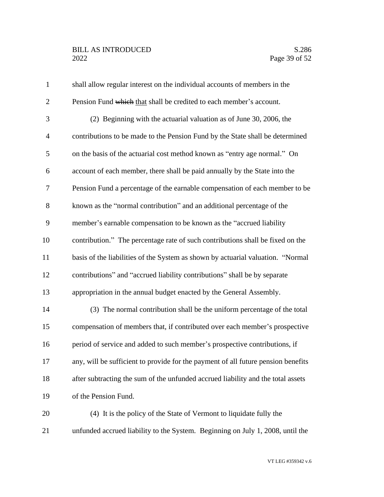# BILL AS INTRODUCED<br>2022 Page 39 of 52

| $\mathbf{1}$   | shall allow regular interest on the individual accounts of members in the         |
|----------------|-----------------------------------------------------------------------------------|
| $\overline{2}$ | Pension Fund which that shall be credited to each member's account.               |
| 3              | (2) Beginning with the actuarial valuation as of June 30, 2006, the               |
| $\overline{4}$ | contributions to be made to the Pension Fund by the State shall be determined     |
| 5              | on the basis of the actuarial cost method known as "entry age normal." On         |
| 6              | account of each member, there shall be paid annually by the State into the        |
| 7              | Pension Fund a percentage of the earnable compensation of each member to be       |
| $8\,$          | known as the "normal contribution" and an additional percentage of the            |
| 9              | member's earnable compensation to be known as the "accrued liability"             |
| 10             | contribution." The percentage rate of such contributions shall be fixed on the    |
| 11             | basis of the liabilities of the System as shown by actuarial valuation. "Normal   |
| 12             | contributions" and "accrued liability contributions" shall be by separate         |
| 13             | appropriation in the annual budget enacted by the General Assembly.               |
| 14             | (3) The normal contribution shall be the uniform percentage of the total          |
| 15             | compensation of members that, if contributed over each member's prospective       |
| 16             | period of service and added to such member's prospective contributions, if        |
| 17             | any, will be sufficient to provide for the payment of all future pension benefits |
| 18             | after subtracting the sum of the unfunded accrued liability and the total assets  |
| 19             | of the Pension Fund.                                                              |
| 20             | (4) It is the policy of the State of Vermont to liquidate fully the               |
| 21             | unfunded accrued liability to the System. Beginning on July 1, 2008, until the    |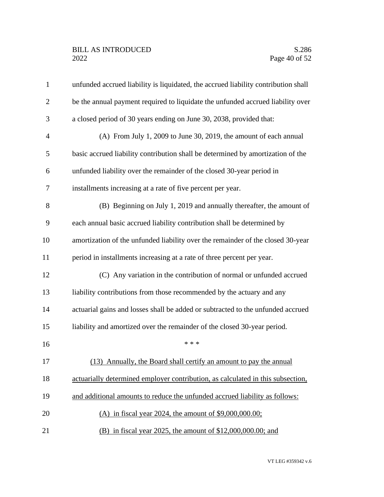| $\mathbf{1}$   | unfunded accrued liability is liquidated, the accrued liability contribution shall |
|----------------|------------------------------------------------------------------------------------|
| $\overline{2}$ | be the annual payment required to liquidate the unfunded accrued liability over    |
| 3              | a closed period of 30 years ending on June 30, 2038, provided that:                |
| 4              | (A) From July 1, 2009 to June 30, 2019, the amount of each annual                  |
| 5              | basic accrued liability contribution shall be determined by amortization of the    |
| 6              | unfunded liability over the remainder of the closed 30-year period in              |
| 7              | installments increasing at a rate of five percent per year.                        |
| 8              | (B) Beginning on July 1, 2019 and annually thereafter, the amount of               |
| 9              | each annual basic accrued liability contribution shall be determined by            |
| 10             | amortization of the unfunded liability over the remainder of the closed 30-year    |
| 11             | period in installments increasing at a rate of three percent per year.             |
| 12             | (C) Any variation in the contribution of normal or unfunded accrued                |
| 13             | liability contributions from those recommended by the actuary and any              |
| 14             | actuarial gains and losses shall be added or subtracted to the unfunded accrued    |
| 15             | liability and amortized over the remainder of the closed 30-year period.           |
| 16             | * * *                                                                              |
| 17             | (13) Annually, the Board shall certify an amount to pay the annual                 |
| 18             | actuarially determined employer contribution, as calculated in this subsection,    |
| 19             | and additional amounts to reduce the unfunded accrued liability as follows:        |
| 20             | (A) in fiscal year 2024, the amount of $$9,000,000.00$ ;                           |
| 21             | (B) in fiscal year 2025, the amount of \$12,000,000.00; and                        |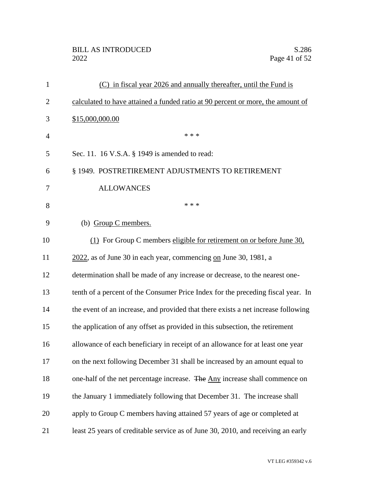# BILL AS INTRODUCED<br>2022 Page 41 of 52

| $\mathbf{1}$ | (C) in fiscal year 2026 and annually thereafter, until the Fund is                |
|--------------|-----------------------------------------------------------------------------------|
| 2            | calculated to have attained a funded ratio at 90 percent or more, the amount of   |
| 3            | \$15,000,000.00                                                                   |
| 4            | * * *                                                                             |
| 5            | Sec. 11. 16 V.S.A. § 1949 is amended to read:                                     |
| 6            | § 1949. POSTRETIREMENT ADJUSTMENTS TO RETIREMENT                                  |
| 7            | <b>ALLOWANCES</b>                                                                 |
| 8            | * * *                                                                             |
| 9            | (b) Group C members.                                                              |
| 10           | (1) For Group C members eligible for retirement on or before June 30,             |
| 11           | $2022$ , as of June 30 in each year, commencing on June 30, 1981, a               |
| 12           | determination shall be made of any increase or decrease, to the nearest one-      |
| 13           | tenth of a percent of the Consumer Price Index for the preceding fiscal year. In  |
| 14           | the event of an increase, and provided that there exists a net increase following |
| 15           | the application of any offset as provided in this subsection, the retirement      |
| 16           | allowance of each beneficiary in receipt of an allowance for at least one year    |
| 17           | on the next following December 31 shall be increased by an amount equal to        |
| 18           | one-half of the net percentage increase. The Any increase shall commence on       |
| 19           | the January 1 immediately following that December 31. The increase shall          |
| 20           | apply to Group C members having attained 57 years of age or completed at          |
| 21           | least 25 years of creditable service as of June 30, 2010, and receiving an early  |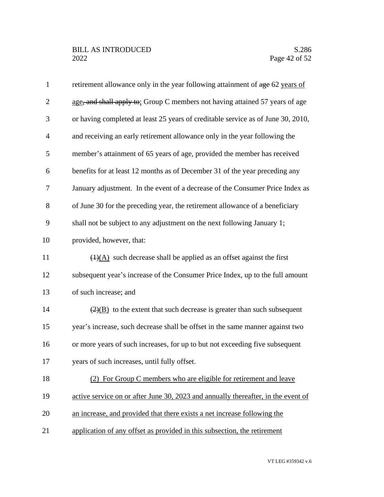| $\mathbf{1}$   | retirement allowance only in the year following attainment of age 62 years of     |
|----------------|-----------------------------------------------------------------------------------|
| $\overline{2}$ | age, and shall apply to: Group C members not having attained 57 years of age      |
| 3              | or having completed at least 25 years of creditable service as of June 30, 2010,  |
| $\overline{4}$ | and receiving an early retirement allowance only in the year following the        |
| 5              | member's attainment of 65 years of age, provided the member has received          |
| 6              | benefits for at least 12 months as of December 31 of the year preceding any       |
| $\tau$         | January adjustment. In the event of a decrease of the Consumer Price Index as     |
| 8              | of June 30 for the preceding year, the retirement allowance of a beneficiary      |
| 9              | shall not be subject to any adjustment on the next following January 1;           |
| 10             | provided, however, that:                                                          |
| 11             | $\overline{(1)(A)}$ such decrease shall be applied as an offset against the first |
| 12             | subsequent year's increase of the Consumer Price Index, up to the full amount     |
| 13             | of such increase; and                                                             |
| 14             | $\frac{2}{2}$ to the extent that such decrease is greater than such subsequent    |
| 15             | year's increase, such decrease shall be offset in the same manner against two     |
| 16             | or more years of such increases, for up to but not exceeding five subsequent      |
| 17             | years of such increases, until fully offset.                                      |
| 18             | (2) For Group C members who are eligible for retirement and leave                 |
| 19             | active service on or after June 30, 2023 and annually thereafter, in the event of |
| 20             | an increase, and provided that there exists a net increase following the          |
| 21             | application of any offset as provided in this subsection, the retirement          |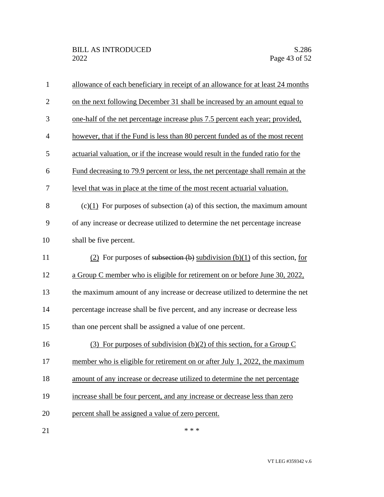| $\mathbf{1}$   | allowance of each beneficiary in receipt of an allowance for at least 24 months  |
|----------------|----------------------------------------------------------------------------------|
| $\overline{2}$ | on the next following December 31 shall be increased by an amount equal to       |
| 3              | one-half of the net percentage increase plus 7.5 percent each year; provided,    |
| $\overline{4}$ | however, that if the Fund is less than 80 percent funded as of the most recent   |
| 5              | actuarial valuation, or if the increase would result in the funded ratio for the |
| 6              | Fund decreasing to 79.9 percent or less, the net percentage shall remain at the  |
| $\tau$         | level that was in place at the time of the most recent actuarial valuation.      |
| 8              | $(c)(1)$ For purposes of subsection (a) of this section, the maximum amount      |
| 9              | of any increase or decrease utilized to determine the net percentage increase    |
| 10             | shall be five percent.                                                           |
| 11             | (2) For purposes of subsection (b) subdivision (b)(1) of this section, for       |
| 12             | a Group C member who is eligible for retirement on or before June 30, 2022,      |
| 13             | the maximum amount of any increase or decrease utilized to determine the net     |
| 14             | percentage increase shall be five percent, and any increase or decrease less     |
| 15             | than one percent shall be assigned a value of one percent.                       |
| 16             | (3) For purposes of subdivision (b)(2) of this section, for a Group C            |
| 17             | member who is eligible for retirement on or after July 1, 2022, the maximum      |
| 18             | amount of any increase or decrease utilized to determine the net percentage      |
| 19             | increase shall be four percent, and any increase or decrease less than zero      |
| 20             | percent shall be assigned a value of zero percent.                               |
| 21             | * * *                                                                            |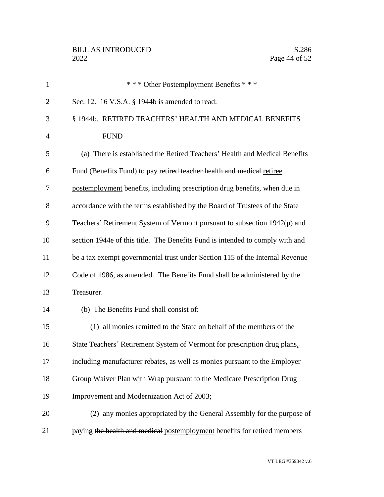| $\mathbf{1}$   | *** Other Postemployment Benefits ***                                         |
|----------------|-------------------------------------------------------------------------------|
| $\overline{2}$ | Sec. 12. 16 V.S.A. § 1944b is amended to read:                                |
| 3              | § 1944b. RETIRED TEACHERS' HEALTH AND MEDICAL BENEFITS                        |
| $\overline{4}$ | <b>FUND</b>                                                                   |
| 5              | (a) There is established the Retired Teachers' Health and Medical Benefits    |
| 6              | Fund (Benefits Fund) to pay retired teacher health and medical retiree        |
| 7              | postemployment benefits, including prescription drug benefits, when due in    |
| 8              | accordance with the terms established by the Board of Trustees of the State   |
| 9              | Teachers' Retirement System of Vermont pursuant to subsection 1942(p) and     |
| 10             | section 1944e of this title. The Benefits Fund is intended to comply with and |
| 11             | be a tax exempt governmental trust under Section 115 of the Internal Revenue  |
| 12             | Code of 1986, as amended. The Benefits Fund shall be administered by the      |
| 13             | Treasurer.                                                                    |
| 14             | (b) The Benefits Fund shall consist of:                                       |
| 15             | (1) all monies remitted to the State on behalf of the members of the          |
| 16             | State Teachers' Retirement System of Vermont for prescription drug plans.     |
| 17             | including manufacturer rebates, as well as monies pursuant to the Employer    |
| 18             | Group Waiver Plan with Wrap pursuant to the Medicare Prescription Drug        |
| 19             | Improvement and Modernization Act of 2003;                                    |
| 20             | (2) any monies appropriated by the General Assembly for the purpose of        |
| 21             | paying the health and medical postemployment benefits for retired members     |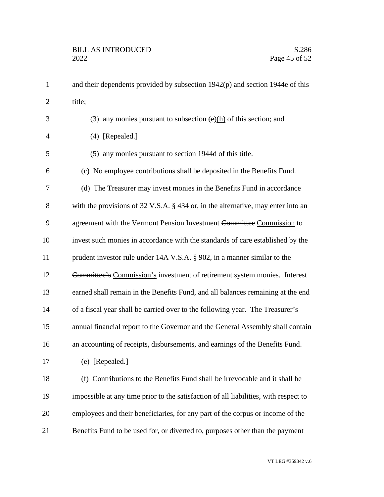1 and their dependents provided by subsection 1942(p) and section 1944e of this 2 title; 3 (3) any monies pursuant to subsection  $\left(\frac{e}{h}\right)$  of this section; and (4) [Repealed.] (5) any monies pursuant to section 1944d of this title. (c) No employee contributions shall be deposited in the Benefits Fund. (d) The Treasurer may invest monies in the Benefits Fund in accordance with the provisions of 32 V.S.A. § 434 or, in the alternative, may enter into an 9 agreement with the Vermont Pension Investment Committee Commission to invest such monies in accordance with the standards of care established by the 11 prudent investor rule under 14A V.S.A. § 902, in a manner similar to the Committee's Commission's investment of retirement system monies. Interest earned shall remain in the Benefits Fund, and all balances remaining at the end of a fiscal year shall be carried over to the following year. The Treasurer's annual financial report to the Governor and the General Assembly shall contain an accounting of receipts, disbursements, and earnings of the Benefits Fund. (e) [Repealed.] (f) Contributions to the Benefits Fund shall be irrevocable and it shall be impossible at any time prior to the satisfaction of all liabilities, with respect to employees and their beneficiaries, for any part of the corpus or income of the Benefits Fund to be used for, or diverted to, purposes other than the payment

VT LEG #359342 v.6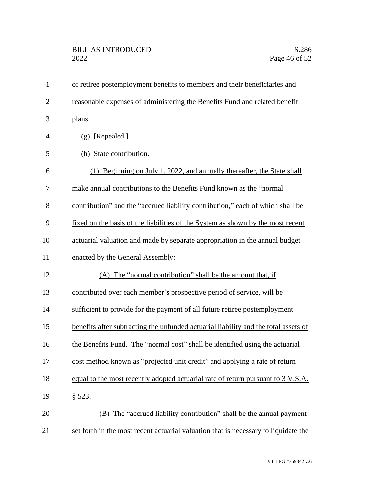| $\mathbf{1}$   | of retiree postemployment benefits to members and their beneficiaries and           |
|----------------|-------------------------------------------------------------------------------------|
| $\overline{2}$ | reasonable expenses of administering the Benefits Fund and related benefit          |
| 3              | plans.                                                                              |
| $\overline{4}$ | $(g)$ [Repealed.]                                                                   |
| 5              | (h) State contribution.                                                             |
| 6              | (1) Beginning on July 1, 2022, and annually thereafter, the State shall             |
| 7              | make annual contributions to the Benefits Fund known as the "normal"                |
| 8              | contribution" and the "accrued liability contribution," each of which shall be      |
| 9              | fixed on the basis of the liabilities of the System as shown by the most recent     |
| 10             | actuarial valuation and made by separate appropriation in the annual budget         |
| 11             | enacted by the General Assembly:                                                    |
| 12             | (A) The "normal contribution" shall be the amount that, if                          |
| 13             | contributed over each member's prospective period of service, will be               |
| 14             | sufficient to provide for the payment of all future retiree postemployment          |
| 15             | benefits after subtracting the unfunded actuarial liability and the total assets of |
| 16             | the Benefits Fund. The "normal cost" shall be identified using the actuarial        |
| 17             | cost method known as "projected unit credit" and applying a rate of return          |
| 18             | equal to the most recently adopted actuarial rate of return pursuant to 3 V.S.A.    |
| 19             | <u>§ 523.</u>                                                                       |
| 20             | (B) The "accrued liability contribution" shall be the annual payment                |
| 21             | set forth in the most recent actuarial valuation that is necessary to liquidate the |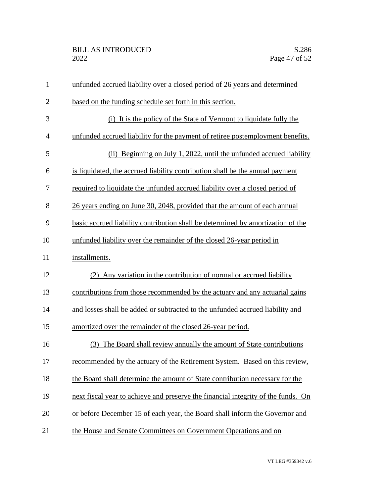| $\mathbf{1}$   | unfunded accrued liability over a closed period of 26 years and determined        |
|----------------|-----------------------------------------------------------------------------------|
| $\overline{2}$ | based on the funding schedule set forth in this section.                          |
| 3              | (i) It is the policy of the State of Vermont to liquidate fully the               |
| $\overline{4}$ | unfunded accrued liability for the payment of retiree postemployment benefits.    |
| 5              | (ii) Beginning on July 1, 2022, until the unfunded accrued liability              |
| 6              | is liquidated, the accrued liability contribution shall be the annual payment     |
| 7              | required to liquidate the unfunded accrued liability over a closed period of      |
| 8              | 26 years ending on June 30, 2048, provided that the amount of each annual         |
| 9              | basic accrued liability contribution shall be determined by amortization of the   |
| 10             | unfunded liability over the remainder of the closed 26-year period in             |
| 11             | installments.                                                                     |
| 12             | (2) Any variation in the contribution of normal or accrued liability              |
| 13             | contributions from those recommended by the actuary and any actuarial gains       |
| 14             | and losses shall be added or subtracted to the unfunded accrued liability and     |
| 15             | amortized over the remainder of the closed 26-year period.                        |
| 16             | The Board shall review annually the amount of State contributions<br>(3)          |
| 17             | recommended by the actuary of the Retirement System. Based on this review,        |
| 18             | the Board shall determine the amount of State contribution necessary for the      |
| 19             | next fiscal year to achieve and preserve the financial integrity of the funds. On |
| 20             | or before December 15 of each year, the Board shall inform the Governor and       |
| 21             | the House and Senate Committees on Government Operations and on                   |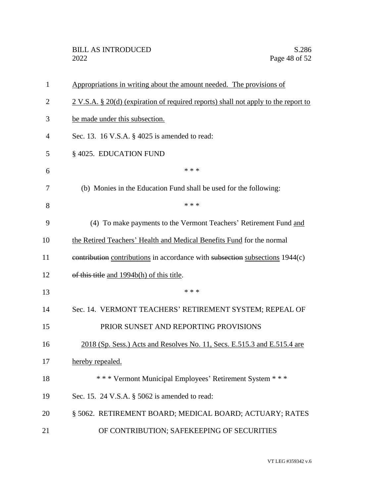| 1              | Appropriations in writing about the amount needed. The provisions of                 |
|----------------|--------------------------------------------------------------------------------------|
| $\overline{2}$ | $2 V.S.A. § 20(d)$ (expiration of required reports) shall not apply to the report to |
| 3              | be made under this subsection.                                                       |
| 4              | Sec. 13. 16 V.S.A. § 4025 is amended to read:                                        |
| 5              | §4025. EDUCATION FUND                                                                |
| 6              | * * *                                                                                |
| 7              | (b) Monies in the Education Fund shall be used for the following:                    |
| 8              | * * *                                                                                |
| 9              | (4) To make payments to the Vermont Teachers' Retirement Fund and                    |
| 10             | the Retired Teachers' Health and Medical Benefits Fund for the normal                |
| 11             | contribution contributions in accordance with subsection subsections 1944(c)         |
| 12             | of this title and 1994b(h) of this title.                                            |
| 13             | * * *                                                                                |
| 14             | Sec. 14. VERMONT TEACHERS' RETIREMENT SYSTEM; REPEAL OF                              |
| 15             | PRIOR SUNSET AND REPORTING PROVISIONS                                                |
| 16             | 2018 (Sp. Sess.) Acts and Resolves No. 11, Secs. E.515.3 and E.515.4 are             |
| 17             | hereby repealed.                                                                     |
| 18             | *** Vermont Municipal Employees' Retirement System ***                               |
| 19             | Sec. 15. 24 V.S.A. § 5062 is amended to read:                                        |
| 20             | § 5062. RETIREMENT BOARD; MEDICAL BOARD; ACTUARY; RATES                              |
| 21             | OF CONTRIBUTION; SAFEKEEPING OF SECURITIES                                           |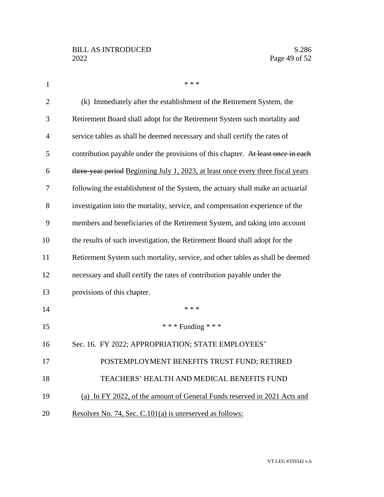| $\mathbf{1}$   | * * *                                                                            |
|----------------|----------------------------------------------------------------------------------|
| $\overline{2}$ | (k) Immediately after the establishment of the Retirement System, the            |
| 3              | Retirement Board shall adopt for the Retirement System such mortality and        |
| $\overline{4}$ | service tables as shall be deemed necessary and shall certify the rates of       |
| 5              | contribution payable under the provisions of this chapter. At least once in each |
| 6              | three year period Beginning July 1, 2023, at least once every three fiscal years |
| 7              | following the establishment of the System, the actuary shall make an actuarial   |
| 8              | investigation into the mortality, service, and compensation experience of the    |
| 9              | members and beneficiaries of the Retirement System, and taking into account      |
| 10             | the results of such investigation, the Retirement Board shall adopt for the      |
| 11             | Retirement System such mortality, service, and other tables as shall be deemed   |
| 12             | necessary and shall certify the rates of contribution payable under the          |
| 13             | provisions of this chapter.                                                      |
| 14             | * * *                                                                            |
| 15             | *** Funding ***                                                                  |
| 16             | Sec. 16. FY 2022; APPROPRIATION; STATE EMPLOYEES'                                |
| 17             | POSTEMPLOYMENT BENEFITS TRUST FUND; RETIRED                                      |
| 18             | TEACHERS' HEALTH AND MEDICAL BENEFITS FUND                                       |
| 19             | (a) In FY 2022, of the amount of General Funds reserved in 2021 Acts and         |
| 20             | Resolves No. 74, Sec. C.101(a) is unreserved as follows:                         |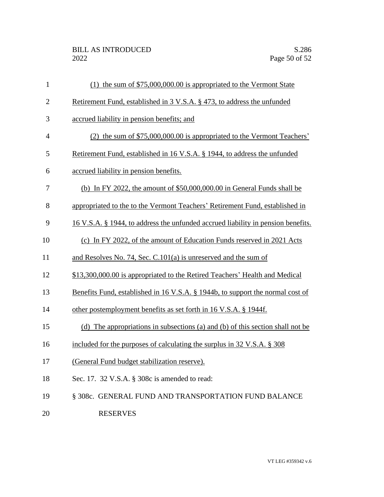| $\mathbf{1}$   | (1) the sum of $$75,000,000.00$ is appropriated to the Vermont State             |
|----------------|----------------------------------------------------------------------------------|
| $\overline{2}$ | Retirement Fund, established in 3 V.S.A. § 473, to address the unfunded          |
| 3              | accrued liability in pension benefits; and                                       |
| $\overline{4}$ | (2) the sum of \$75,000,000.00 is appropriated to the Vermont Teachers'          |
| 5              | Retirement Fund, established in 16 V.S.A. § 1944, to address the unfunded        |
| 6              | accrued liability in pension benefits.                                           |
| 7              | (b) In FY 2022, the amount of $$50,000,000.00$ in General Funds shall be         |
| 8              | appropriated to the to the Vermont Teachers' Retirement Fund, established in     |
| 9              | 16 V.S.A. § 1944, to address the unfunded accrued liability in pension benefits. |
| 10             | (c) In FY 2022, of the amount of Education Funds reserved in 2021 Acts           |
| 11             | and Resolves No. 74, Sec. $C.101(a)$ is unreserved and the sum of                |
| 12             | \$13,300,000.00 is appropriated to the Retired Teachers' Health and Medical      |
| 13             | Benefits Fund, established in 16 V.S.A. § 1944b, to support the normal cost of   |
| 14             | other postemployment benefits as set forth in 16 V.S.A. § 1944f.                 |
| 15             | (d) The appropriations in subsections (a) and (b) of this section shall not be   |
| 16             | included for the purposes of calculating the surplus in 32 V.S.A. § 308          |
| 17             | (General Fund budget stabilization reserve).                                     |
| 18             | Sec. 17. 32 V.S.A. § 308c is amended to read:                                    |
| 19             | § 308c. GENERAL FUND AND TRANSPORTATION FUND BALANCE                             |
| 20             | <b>RESERVES</b>                                                                  |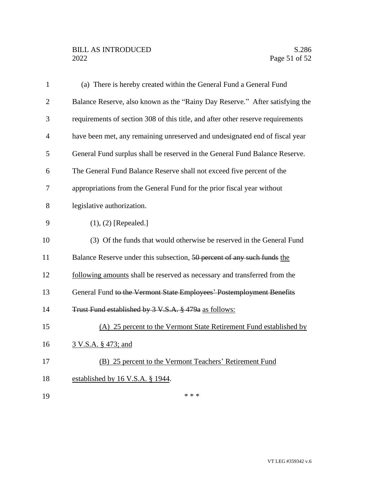# BILL AS INTRODUCED<br>2022 Page 51 of 52

| $\mathbf{1}$   | (a) There is hereby created within the General Fund a General Fund              |
|----------------|---------------------------------------------------------------------------------|
| $\overline{2}$ | Balance Reserve, also known as the "Rainy Day Reserve." After satisfying the    |
| 3              | requirements of section 308 of this title, and after other reserve requirements |
| $\overline{4}$ | have been met, any remaining unreserved and undesignated end of fiscal year     |
| 5              | General Fund surplus shall be reserved in the General Fund Balance Reserve.     |
| 6              | The General Fund Balance Reserve shall not exceed five percent of the           |
| 7              | appropriations from the General Fund for the prior fiscal year without          |
| 8              | legislative authorization.                                                      |
| 9              | $(1), (2)$ [Repealed.]                                                          |
| 10             | (3) Of the funds that would otherwise be reserved in the General Fund           |
| 11             | Balance Reserve under this subsection, 50 percent of any such funds the         |
| 12             | following amounts shall be reserved as necessary and transferred from the       |
| 13             | General Fund to the Vermont State Employees' Postemployment Benefits            |
| 14             | Trust Fund established by 3 V.S.A. § 479a as follows:                           |
| 15             | (A) 25 percent to the Vermont State Retirement Fund established by              |
| 16             | 3 V.S.A. § 473; and                                                             |
| 17             | (B) 25 percent to the Vermont Teachers' Retirement Fund                         |
| 18             | established by 16 V.S.A. § 1944.                                                |
| 19             | * * *                                                                           |